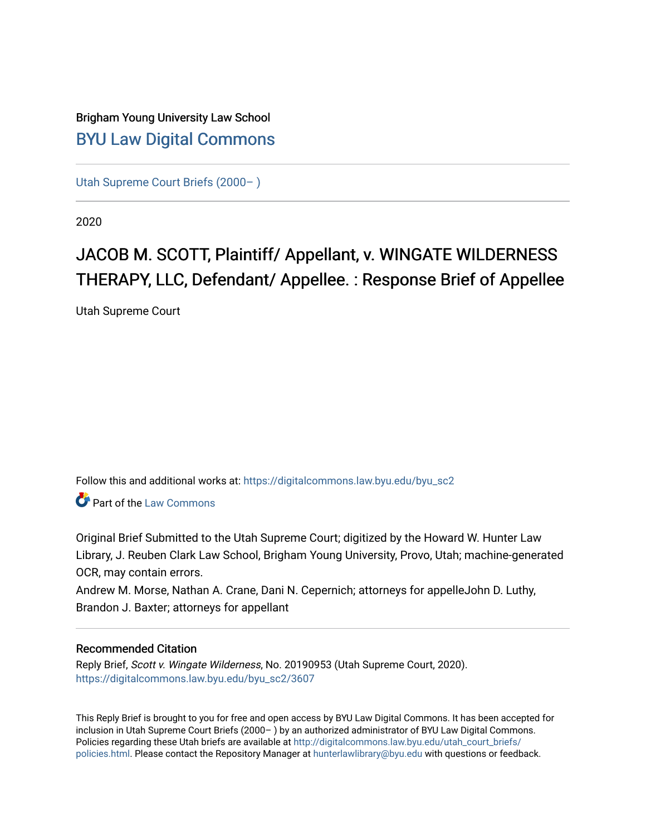# Brigham Young University Law School [BYU Law Digital Commons](https://digitalcommons.law.byu.edu/)

[Utah Supreme Court Briefs \(2000– \)](https://digitalcommons.law.byu.edu/byu_sc2)

2020

# JACOB M. SCOTT, Plaintiff/ Appellant, v. WINGATE WILDERNESS THERAPY, LLC, Defendant/ Appellee. : Response Brief of Appellee

Utah Supreme Court

Follow this and additional works at: [https://digitalcommons.law.byu.edu/byu\\_sc2](https://digitalcommons.law.byu.edu/byu_sc2?utm_source=digitalcommons.law.byu.edu%2Fbyu_sc2%2F3607&utm_medium=PDF&utm_campaign=PDFCoverPages) 

Part of the [Law Commons](https://network.bepress.com/hgg/discipline/578?utm_source=digitalcommons.law.byu.edu%2Fbyu_sc2%2F3607&utm_medium=PDF&utm_campaign=PDFCoverPages)

Original Brief Submitted to the Utah Supreme Court; digitized by the Howard W. Hunter Law Library, J. Reuben Clark Law School, Brigham Young University, Provo, Utah; machine-generated OCR, may contain errors.

Andrew M. Morse, Nathan A. Crane, Dani N. Cepernich; attorneys for appelleJohn D. Luthy, Brandon J. Baxter; attorneys for appellant

#### Recommended Citation

Reply Brief, Scott v. Wingate Wilderness, No. 20190953 (Utah Supreme Court, 2020). [https://digitalcommons.law.byu.edu/byu\\_sc2/3607](https://digitalcommons.law.byu.edu/byu_sc2/3607?utm_source=digitalcommons.law.byu.edu%2Fbyu_sc2%2F3607&utm_medium=PDF&utm_campaign=PDFCoverPages)

This Reply Brief is brought to you for free and open access by BYU Law Digital Commons. It has been accepted for inclusion in Utah Supreme Court Briefs (2000– ) by an authorized administrator of BYU Law Digital Commons. Policies regarding these Utah briefs are available at [http://digitalcommons.law.byu.edu/utah\\_court\\_briefs/](http://digitalcommons.law.byu.edu/utah_court_briefs/policies.html) [policies.html](http://digitalcommons.law.byu.edu/utah_court_briefs/policies.html). Please contact the Repository Manager at hunterlawlibrary@byu.edu with questions or feedback.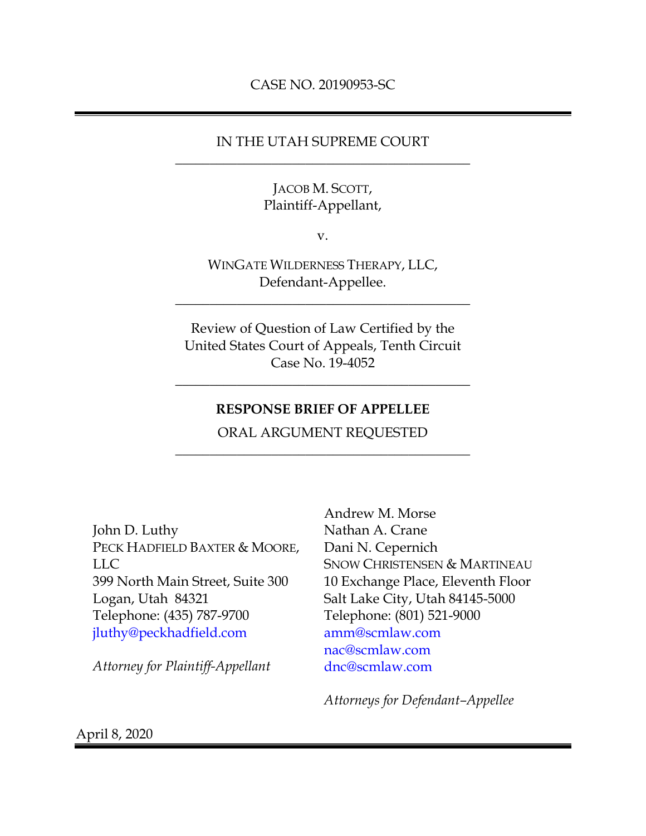### IN THE UTAH SUPREME COURT \_\_\_\_\_\_\_\_\_\_\_\_\_\_\_\_\_\_\_\_\_\_\_\_\_\_\_\_\_\_\_\_\_\_\_\_\_\_\_\_\_\_\_

### JACOB M. SCOTT, Plaintiff-Appellant,

v.

WINGATE WILDERNESS THERAPY, LLC, Defendant-Appellee.

\_\_\_\_\_\_\_\_\_\_\_\_\_\_\_\_\_\_\_\_\_\_\_\_\_\_\_\_\_\_\_\_\_\_\_\_\_\_\_\_\_\_\_

Review of Question of Law Certified by the United States Court of Appeals, Tenth Circuit Case No. 19-4052

### **RESPONSE BRIEF OF APPELLEE**

\_\_\_\_\_\_\_\_\_\_\_\_\_\_\_\_\_\_\_\_\_\_\_\_\_\_\_\_\_\_\_\_\_\_\_\_\_\_\_\_\_\_\_

ORAL ARGUMENT REQUESTED \_\_\_\_\_\_\_\_\_\_\_\_\_\_\_\_\_\_\_\_\_\_\_\_\_\_\_\_\_\_\_\_\_\_\_\_\_\_\_\_\_\_\_

John D. Luthy PECK HADFIELD BAXTER & MOORE, LLC 399 North Main Street, Suite 300 Logan, Utah 84321 Telephone: (435) 787-9700 [jluthy@peckhadfield.com](mailto:jluthy@peckhadfield.com)

*Attorney for Plaintiff-Appellant*

Andrew M. Morse Nathan A. Crane Dani N. Cepernich SNOW CHRISTENSEN & MARTINEAU 10 Exchange Place, Eleventh Floor Salt Lake City, Utah 84145-5000 Telephone: (801) 521-9000 [amm@scmlaw.com](mailto:amm@scmlaw.com) [nac@scmlaw.com](mailto:nac@scmlaw.com) [dnc@scmlaw.com](mailto:dnc@scmlaw.com)

*Attorneys for Defendant–Appellee*

April 8, 2020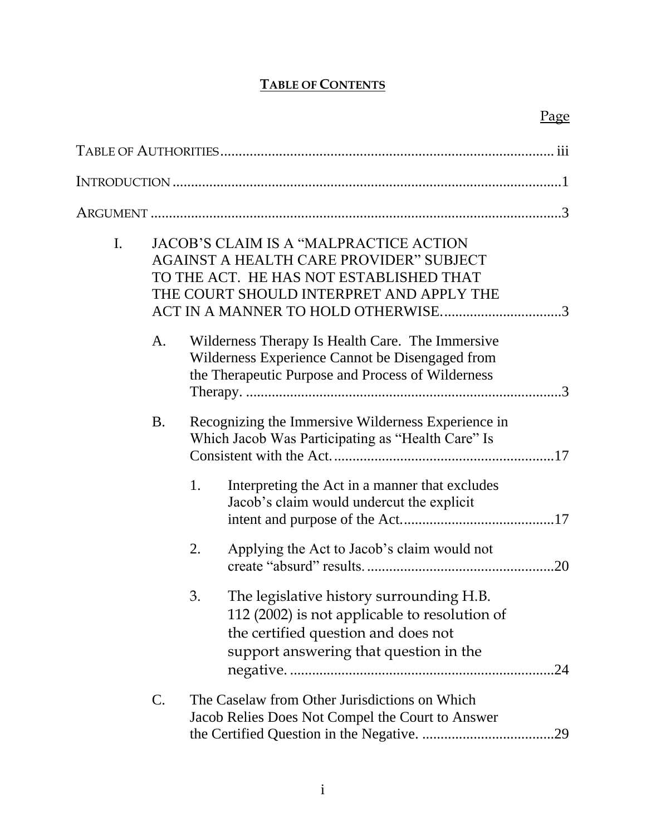# **TABLE OF CONTENTS**

| I. |           | <b>JACOB'S CLAIM IS A "MALPRACTICE ACTION</b><br><b>AGAINST A HEALTH CARE PROVIDER" SUBJECT</b><br>TO THE ACT. HE HAS NOT ESTABLISHED THAT<br>THE COURT SHOULD INTERPRET AND APPLY THE<br>ACT IN A MANNER TO HOLD OTHERWISE3 |                                                                                                                                                                            |     |  |  |
|----|-----------|------------------------------------------------------------------------------------------------------------------------------------------------------------------------------------------------------------------------------|----------------------------------------------------------------------------------------------------------------------------------------------------------------------------|-----|--|--|
|    | A.        |                                                                                                                                                                                                                              | Wilderness Therapy Is Health Care. The Immersive<br>Wilderness Experience Cannot be Disengaged from<br>the Therapeutic Purpose and Process of Wilderness                   |     |  |  |
|    | <b>B.</b> |                                                                                                                                                                                                                              | Recognizing the Immersive Wilderness Experience in<br>Which Jacob Was Participating as "Health Care" Is                                                                    |     |  |  |
|    |           | 1.                                                                                                                                                                                                                           | Interpreting the Act in a manner that excludes<br>Jacob's claim would undercut the explicit                                                                                |     |  |  |
|    |           | 2.                                                                                                                                                                                                                           | Applying the Act to Jacob's claim would not                                                                                                                                |     |  |  |
|    |           | 3.                                                                                                                                                                                                                           | The legislative history surrounding H.B.<br>112 (2002) is not applicable to resolution of<br>the certified question and does not<br>support answering that question in the |     |  |  |
|    | C.        |                                                                                                                                                                                                                              | The Caselaw from Other Jurisdictions on Which<br>Jacob Relies Does Not Compel the Court to Answer                                                                          | .29 |  |  |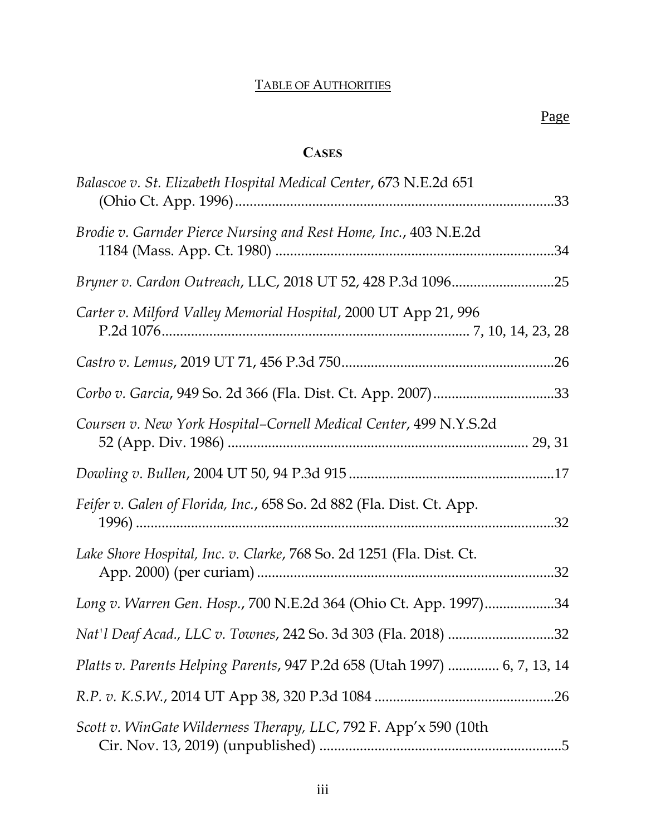# TABLE OF AUTHORITIES

# **CASES**

<span id="page-4-0"></span>

| Balascoe v. St. Elizabeth Hospital Medical Center, 673 N.E.2d 651         |
|---------------------------------------------------------------------------|
| Brodie v. Garnder Pierce Nursing and Rest Home, Inc., 403 N.E.2d          |
|                                                                           |
| Carter v. Milford Valley Memorial Hospital, 2000 UT App 21, 996           |
|                                                                           |
| Corbo v. Garcia, 949 So. 2d 366 (Fla. Dist. Ct. App. 2007)33              |
| Coursen v. New York Hospital-Cornell Medical Center, 499 N.Y.S.2d         |
|                                                                           |
| Feifer v. Galen of Florida, Inc., 658 So. 2d 882 (Fla. Dist. Ct. App.     |
| Lake Shore Hospital, Inc. v. Clarke, 768 So. 2d 1251 (Fla. Dist. Ct.      |
| Long v. Warren Gen. Hosp., 700 N.E.2d 364 (Ohio Ct. App. 1997)34          |
|                                                                           |
| Platts v. Parents Helping Parents, 947 P.2d 658 (Utah 1997)  6, 7, 13, 14 |
|                                                                           |
| Scott v. WinGate Wilderness Therapy, LLC, 792 F. App'x 590 (10th          |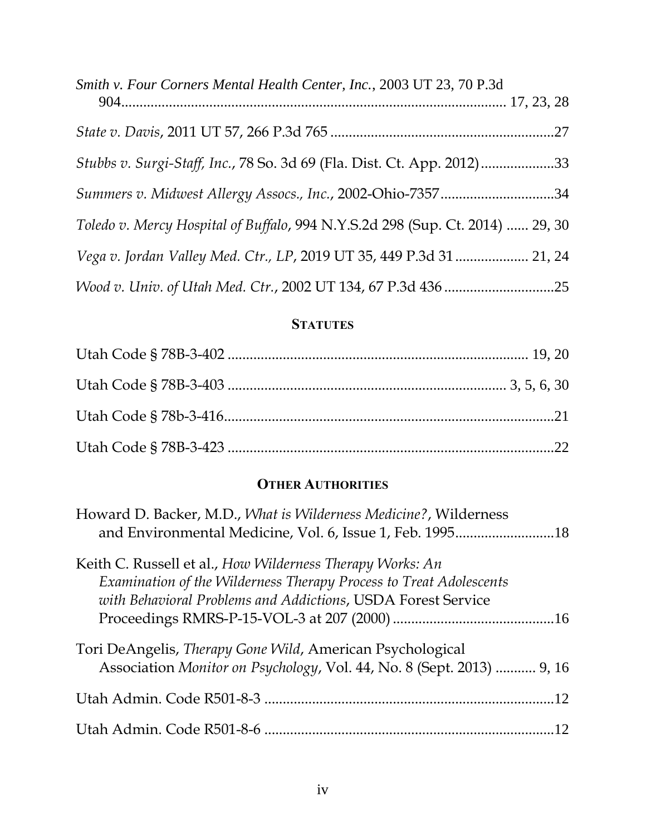| Smith v. Four Corners Mental Health Center, Inc., 2003 UT 23, 70 P.3d         |  |
|-------------------------------------------------------------------------------|--|
|                                                                               |  |
| Stubbs v. Surgi-Staff, Inc., 78 So. 3d 69 (Fla. Dist. Ct. App. 2012)33        |  |
| Summers v. Midwest Allergy Assocs., Inc., 2002-Ohio-735734                    |  |
| Toledo v. Mercy Hospital of Buffalo, 994 N.Y.S.2d 298 (Sup. Ct. 2014)  29, 30 |  |
| Vega v. Jordan Valley Med. Ctr., LP, 2019 UT 35, 449 P.3d 31 21, 24           |  |
|                                                                               |  |

# **STATUTES**

# **OTHER AUTHORITIES**

| Howard D. Backer, M.D., What is Wilderness Medicine?, Wilderness                                                                                                                                |
|-------------------------------------------------------------------------------------------------------------------------------------------------------------------------------------------------|
| Keith C. Russell et al., How Wilderness Therapy Works: An<br>Examination of the Wilderness Therapy Process to Treat Adolescents<br>with Behavioral Problems and Addictions, USDA Forest Service |
| Tori DeAngelis, Therapy Gone Wild, American Psychological<br>Association Monitor on Psychology, Vol. 44, No. 8 (Sept. 2013)  9, 16                                                              |
|                                                                                                                                                                                                 |
|                                                                                                                                                                                                 |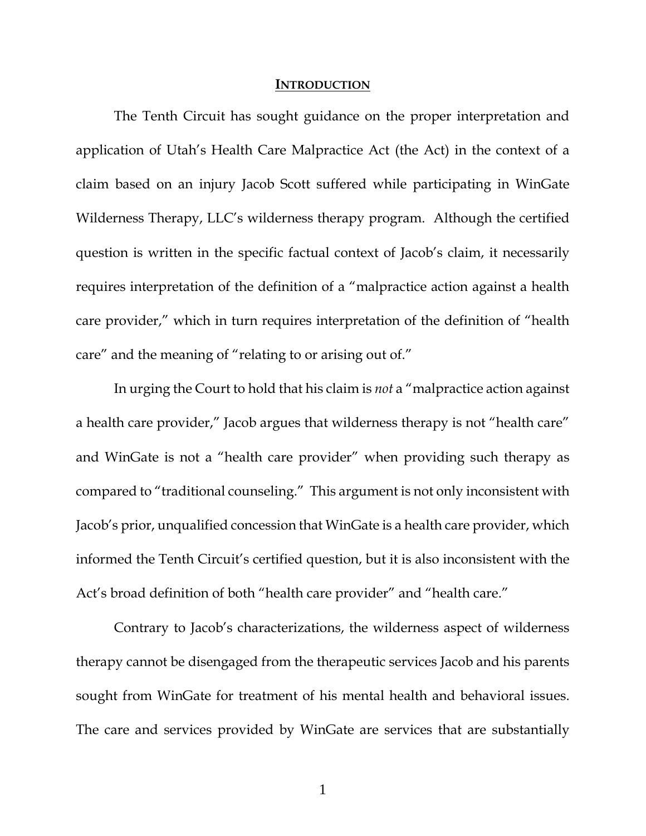#### **INTRODUCTION**

<span id="page-7-0"></span>The Tenth Circuit has sought guidance on the proper interpretation and application of Utah's Health Care Malpractice Act (the Act) in the context of a claim based on an injury Jacob Scott suffered while participating in WinGate Wilderness Therapy, LLC's wilderness therapy program. Although the certified question is written in the specific factual context of Jacob's claim, it necessarily requires interpretation of the definition of a "malpractice action against a health care provider," which in turn requires interpretation of the definition of "health care" and the meaning of "relating to or arising out of."

In urging the Court to hold that his claim is *not* a "malpractice action against a health care provider," Jacob argues that wilderness therapy is not "health care" and WinGate is not a "health care provider" when providing such therapy as compared to "traditional counseling." This argument is not only inconsistent with Jacob's prior, unqualified concession that WinGate is a health care provider, which informed the Tenth Circuit's certified question, but it is also inconsistent with the Act's broad definition of both "health care provider" and "health care."

Contrary to Jacob's characterizations, the wilderness aspect of wilderness therapy cannot be disengaged from the therapeutic services Jacob and his parents sought from WinGate for treatment of his mental health and behavioral issues. The care and services provided by WinGate are services that are substantially

1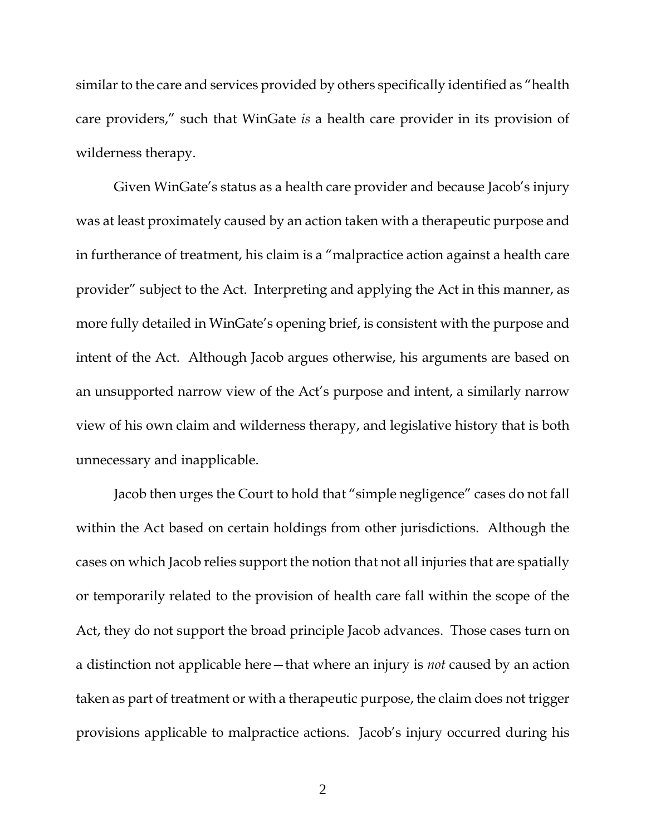similar to the care and services provided by others specifically identified as "health care providers," such that WinGate *is* a health care provider in its provision of wilderness therapy.

Given WinGate's status as a health care provider and because Jacob's injury was at least proximately caused by an action taken with a therapeutic purpose and in furtherance of treatment, his claim is a "malpractice action against a health care provider" subject to the Act. Interpreting and applying the Act in this manner, as more fully detailed in WinGate's opening brief, is consistent with the purpose and intent of the Act. Although Jacob argues otherwise, his arguments are based on an unsupported narrow view of the Act's purpose and intent, a similarly narrow view of his own claim and wilderness therapy, and legislative history that is both unnecessary and inapplicable.

Jacob then urges the Court to hold that "simple negligence" cases do not fall within the Act based on certain holdings from other jurisdictions. Although the cases on which Jacob relies support the notion that not all injuries that are spatially or temporarily related to the provision of health care fall within the scope of the Act, they do not support the broad principle Jacob advances. Those cases turn on a distinction not applicable here—that where an injury is *not* caused by an action taken as part of treatment or with a therapeutic purpose, the claim does not trigger provisions applicable to malpractice actions. Jacob's injury occurred during his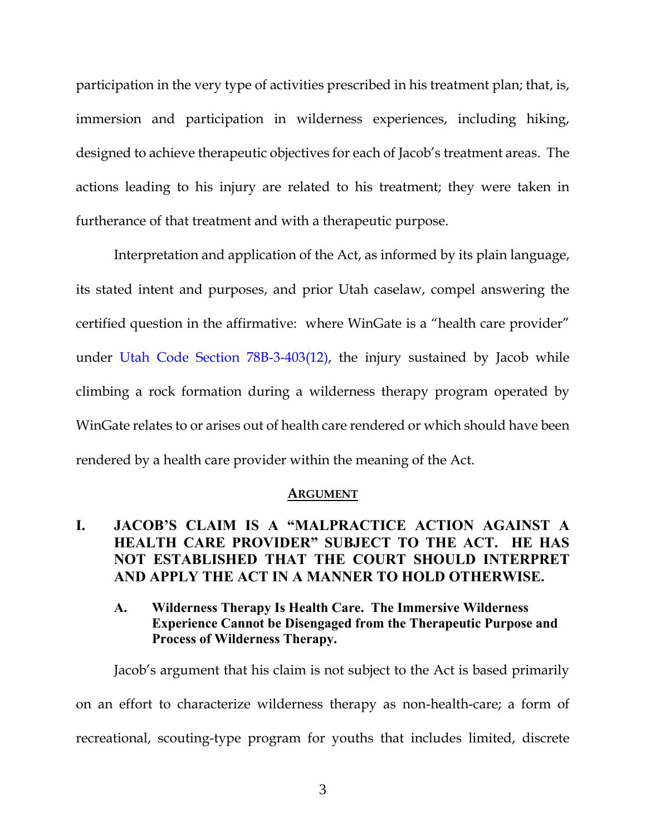participation in the very type of activities prescribed in his treatment plan; that, is, immersion and participation in wilderness experiences, including hiking, designed to achieve therapeutic objectives for each of Jacob's treatment areas. The actions leading to his injury are related to his treatment; they were taken in furtherance of that treatment and with a therapeutic purpose.

Interpretation and application of the Act, as informed by its plain language, its stated intent and purposes, and prior Utah caselaw, compel answering the certified question in the affirmative: where WinGate is a "health care provider" under [Utah Code Section 78B-3-403\(12\),](https://www.westlaw.com/Document/N0E6B990085B811E9A9B08E2FC34AD275/View/FullText.html?transitionType=Default&contextData=(sc.Default)&VR=3.0&RS=da3.0) the injury sustained by Jacob while climbing a rock formation during a wilderness therapy program operated by WinGate relates to or arises out of health care rendered or which should have been rendered by a health care provider within the meaning of the Act.

#### **ARGUMENT**

## <span id="page-9-1"></span><span id="page-9-0"></span>**I. JACOB'S CLAIM IS A "MALPRACTICE ACTION AGAINST A HEALTH CARE PROVIDER" SUBJECT TO THE ACT. HE HAS NOT ESTABLISHED THAT THE COURT SHOULD INTERPRET AND APPLY THE ACT IN A MANNER TO HOLD OTHERWISE.**

<span id="page-9-2"></span>**A. Wilderness Therapy Is Health Care. The Immersive Wilderness Experience Cannot be Disengaged from the Therapeutic Purpose and Process of Wilderness Therapy.**

Jacob's argument that his claim is not subject to the Act is based primarily on an effort to characterize wilderness therapy as non-health-care; a form of recreational, scouting-type program for youths that includes limited, discrete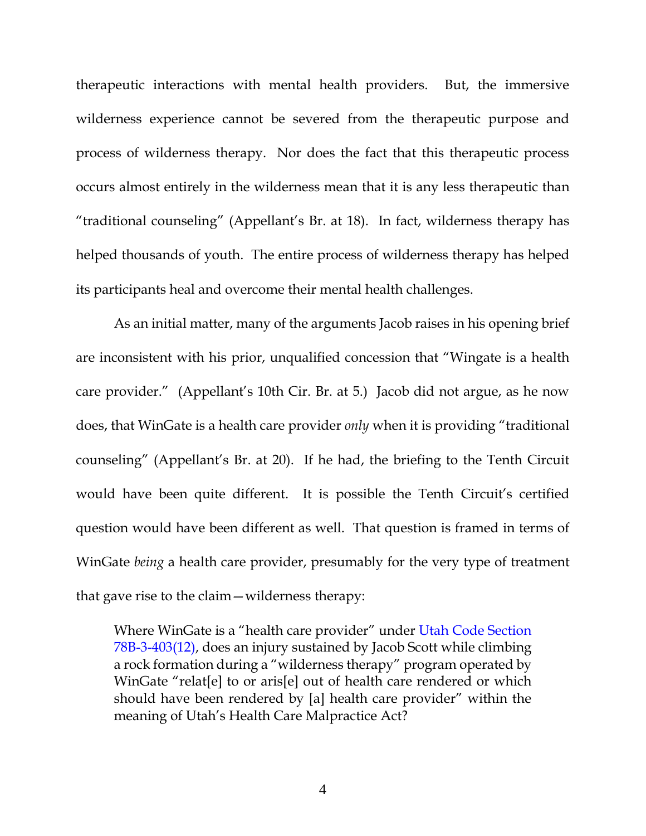therapeutic interactions with mental health providers. But, the immersive wilderness experience cannot be severed from the therapeutic purpose and process of wilderness therapy. Nor does the fact that this therapeutic process occurs almost entirely in the wilderness mean that it is any less therapeutic than "traditional counseling" (Appellant's Br. at 18). In fact, wilderness therapy has helped thousands of youth. The entire process of wilderness therapy has helped its participants heal and overcome their mental health challenges.

As an initial matter, many of the arguments Jacob raises in his opening brief are inconsistent with his prior, unqualified concession that "Wingate is a health care provider." (Appellant's 10th Cir. Br. at 5.) Jacob did not argue, as he now does, that WinGate is a health care provider *only* when it is providing "traditional counseling" (Appellant's Br. at 20). If he had, the briefing to the Tenth Circuit would have been quite different. It is possible the Tenth Circuit's certified question would have been different as well. That question is framed in terms of WinGate *being* a health care provider, presumably for the very type of treatment that gave rise to the claim—wilderness therapy:

Where WinGate is a "health care provider" under [Utah Code Section](https://www.westlaw.com/Document/N0E6B990085B811E9A9B08E2FC34AD275/View/FullText.html?transitionType=Default&contextData=(sc.Default)&VR=3.0&RS=da3.0)  [78B-3-403\(12\),](https://www.westlaw.com/Document/N0E6B990085B811E9A9B08E2FC34AD275/View/FullText.html?transitionType=Default&contextData=(sc.Default)&VR=3.0&RS=da3.0) does an injury sustained by Jacob Scott while climbing a rock formation during a "wilderness therapy" program operated by WinGate "relat[e] to or aris[e] out of health care rendered or which should have been rendered by [a] health care provider" within the meaning of Utah's Health Care Malpractice Act?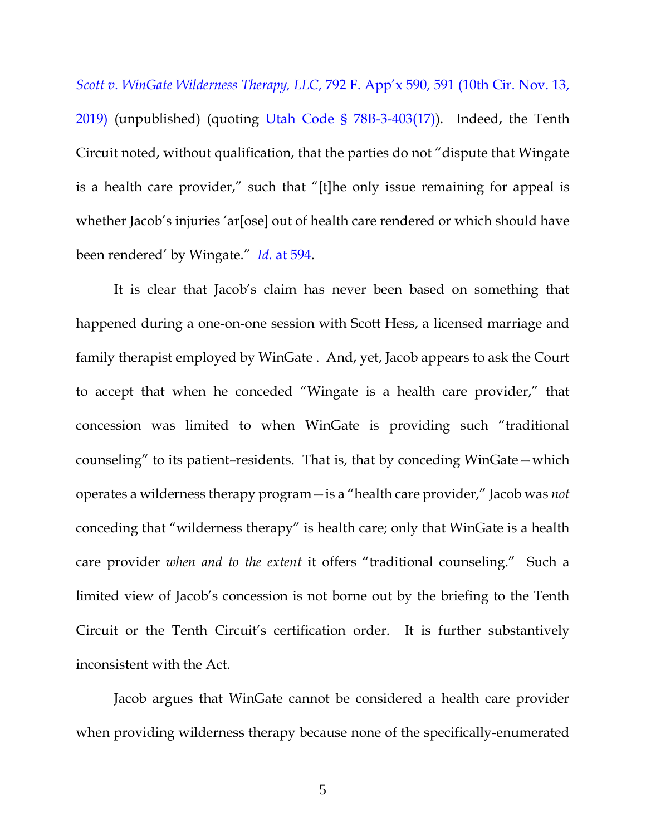*[Scott v. WinGate Wilderness Therapy, LLC](https://www.westlaw.com/Document/I539e6870070611eab410ab1c3b910894/View/FullText.html?transitionType=Default&contextData=(sc.Default)&VR=3.0&RS=da3.0&fragmentIdentifier=co_pp_sp_6538_591)*, 792 F. App'x 590, 591 (10th Cir. Nov. 13, [2019\)](https://www.westlaw.com/Document/I539e6870070611eab410ab1c3b910894/View/FullText.html?transitionType=Default&contextData=(sc.Default)&VR=3.0&RS=da3.0&fragmentIdentifier=co_pp_sp_6538_591) (unpublished) (quoting [Utah Code § 78B-3-403\(17\)\)](https://www.westlaw.com/Document/N0E6B990085B811E9A9B08E2FC34AD275/View/FullText.html?transitionType=Default&contextData=(sc.Default)&VR=3.0&RS=da3.0). Indeed, the Tenth Circuit noted, without qualification, that the parties do not "dispute that Wingate is a health care provider," such that "[t]he only issue remaining for appeal is whether Jacob's injuries 'ar [ose] out of health care rendered or which should have been rendered' by Wingate." *Id.* [at 594.](https://www.westlaw.com/Document/I539e6870070611eab410ab1c3b910894/View/FullText.html?transitionType=Default&contextData=(sc.Default)&VR=3.0&RS=da3.0&fragmentIdentifier=co_pp_sp_6538_594)

It is clear that Jacob's claim has never been based on something that happened during a one-on-one session with Scott Hess, a licensed marriage and family therapist employed by WinGate . And, yet, Jacob appears to ask the Court to accept that when he conceded "Wingate is a health care provider," that concession was limited to when WinGate is providing such "traditional counseling" to its patient–residents. That is, that by conceding WinGate—which operates a wilderness therapy program—is a "health care provider," Jacob was *not*  conceding that "wilderness therapy" is health care; only that WinGate is a health care provider *when and to the extent* it offers "traditional counseling." Such a limited view of Jacob's concession is not borne out by the briefing to the Tenth Circuit or the Tenth Circuit's certification order. It is further substantively inconsistent with the Act.

Jacob argues that WinGate cannot be considered a health care provider when providing wilderness therapy because none of the specifically-enumerated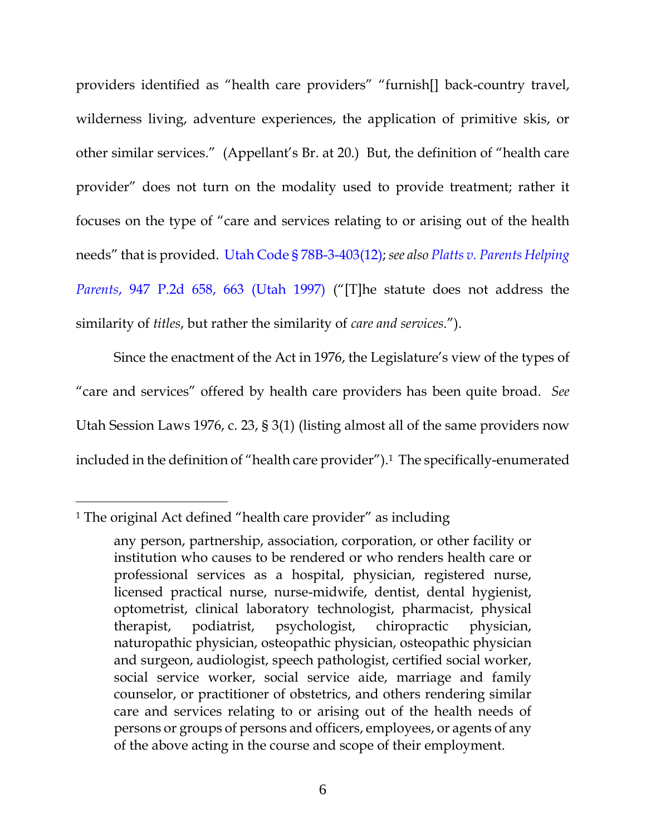providers identified as "health care providers" "furnish[] back-country travel, wilderness living, adventure experiences, the application of primitive skis, or other similar services." (Appellant's Br. at 20.) But, the definition of "health care provider" does not turn on the modality used to provide treatment; rather it focuses on the type of "care and services relating to or arising out of the health needs" that is provided. [Utah Code § 78B-3-403\(12\);](https://www.westlaw.com/Document/N0E6B990085B811E9A9B08E2FC34AD275/View/FullText.html?transitionType=Default&contextData=(sc.Default)&VR=3.0&RS=da3.0) *see als[o Platts v. Parents Helping](https://www.westlaw.com/Document/I00c42903f57311d9bf60c1d57ebc853e/View/FullText.html?transitionType=Default&contextData=(sc.Default)&VR=3.0&RS=da3.0&fragmentIdentifier=co_pp_sp_661_663)  Parents*[, 947 P.2d 658, 663 \(Utah 1997\)](https://www.westlaw.com/Document/I00c42903f57311d9bf60c1d57ebc853e/View/FullText.html?transitionType=Default&contextData=(sc.Default)&VR=3.0&RS=da3.0&fragmentIdentifier=co_pp_sp_661_663) ("[T]he statute does not address the similarity of *titles*, but rather the similarity of *care and services*.").

Since the enactment of the Act in 1976, the Legislature's view of the types of "care and services" offered by health care providers has been quite broad. *See*  Utah Session Laws 1976, c. 23, § 3(1) (listing almost all of the same providers now included in the definition of "health care provider"). <sup>1</sup> The specifically-enumerated

 $\overline{a}$ 

<sup>1</sup> The original Act defined "health care provider" as including

any person, partnership, association, corporation, or other facility or institution who causes to be rendered or who renders health care or professional services as a hospital, physician, registered nurse, licensed practical nurse, nurse-midwife, dentist, dental hygienist, optometrist, clinical laboratory technologist, pharmacist, physical therapist, podiatrist, psychologist, chiropractic physician, naturopathic physician, osteopathic physician, osteopathic physician and surgeon, audiologist, speech pathologist, certified social worker, social service worker, social service aide, marriage and family counselor, or practitioner of obstetrics, and others rendering similar care and services relating to or arising out of the health needs of persons or groups of persons and officers, employees, or agents of any of the above acting in the course and scope of their employment.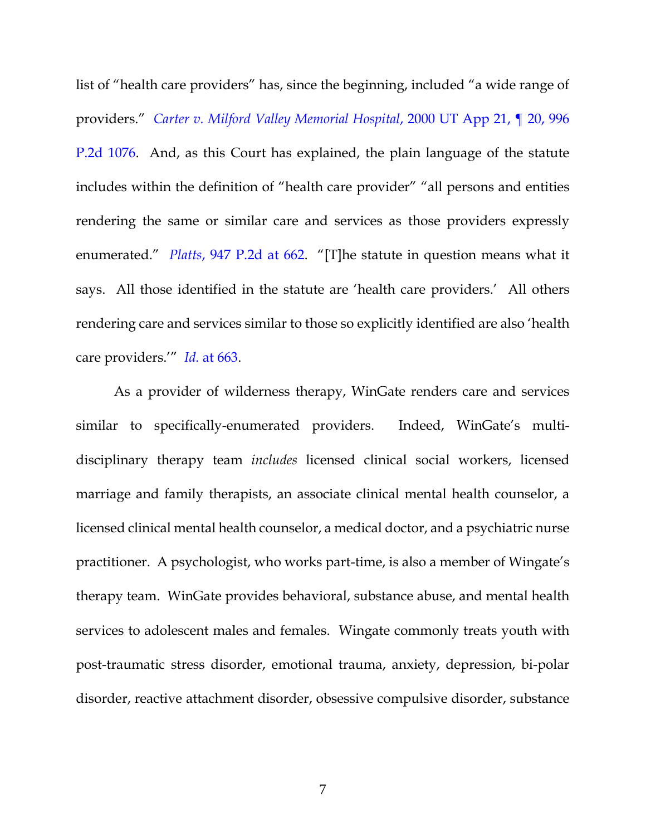list of "health care providers" has, since the beginning, included "a wide range of providers." *[Carter v. Milford Valley Memorial Hospital](https://www.westlaw.com/Document/Ieb156981f55311d9bf60c1d57ebc853e/View/FullText.html?transitionType=Default&contextData=(sc.Default)&VR=3.0&RS=da3.0)*, 2000 UT App 21, ¶ 20, 996 [P.2d 1076.](https://www.westlaw.com/Document/Ieb156981f55311d9bf60c1d57ebc853e/View/FullText.html?transitionType=Default&contextData=(sc.Default)&VR=3.0&RS=da3.0) And, as this Court has explained, the plain language of the statute includes within the definition of "health care provider" "all persons and entities rendering the same or similar care and services as those providers expressly enumerated." *Platts*[, 947 P.2d at 662](https://www.westlaw.com/Document/I00c42903f57311d9bf60c1d57ebc853e/View/FullText.html?transitionType=Default&contextData=(sc.Default)&VR=3.0&RS=da3.0&fragmentIdentifier=co_pp_sp_661_662). "[T]he statute in question means what it says. All those identified in the statute are 'health care providers.' All others rendering care and services similar to those so explicitly identified are also 'health care providers.'" *Id.* [at 663.](https://www.westlaw.com/Document/I00c42903f57311d9bf60c1d57ebc853e/View/FullText.html?transitionType=Default&contextData=(sc.Default)&VR=3.0&RS=da3.0&fragmentIdentifier=co_pp_sp_661_663)

As a provider of wilderness therapy, WinGate renders care and services similar to specifically-enumerated providers. Indeed, WinGate's multidisciplinary therapy team *includes* licensed clinical social workers, licensed marriage and family therapists, an associate clinical mental health counselor, a licensed clinical mental health counselor, a medical doctor, and a psychiatric nurse practitioner. A psychologist, who works part-time, is also a member of Wingate's therapy team. WinGate provides behavioral, substance abuse, and mental health services to adolescent males and females. Wingate commonly treats youth with post-traumatic stress disorder, emotional trauma, anxiety, depression, bi-polar disorder, reactive attachment disorder, obsessive compulsive disorder, substance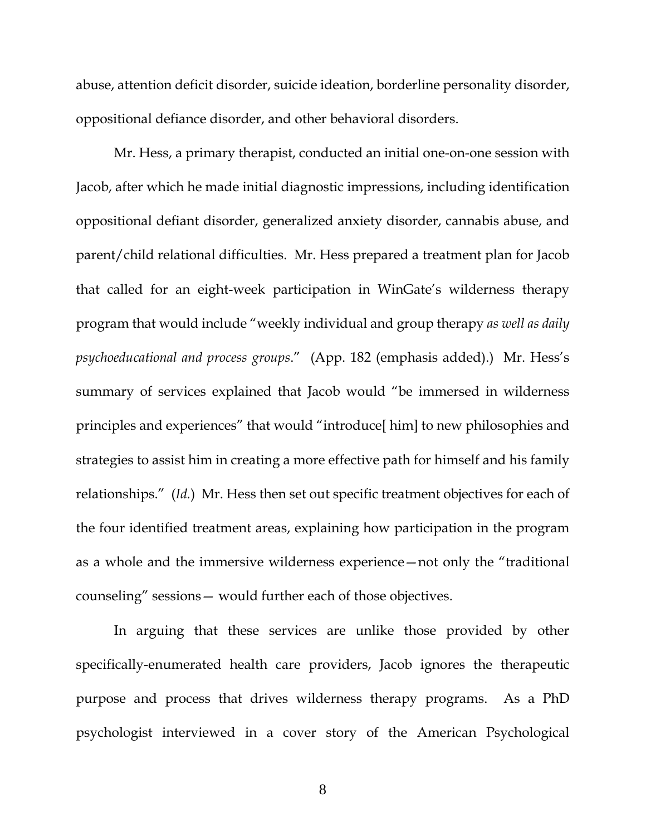abuse, attention deficit disorder, suicide ideation, borderline personality disorder, oppositional defiance disorder, and other behavioral disorders.

Mr. Hess, a primary therapist, conducted an initial one-on-one session with Jacob, after which he made initial diagnostic impressions, including identification oppositional defiant disorder, generalized anxiety disorder, cannabis abuse, and parent/child relational difficulties. Mr. Hess prepared a treatment plan for Jacob that called for an eight-week participation in WinGate's wilderness therapy program that would include "weekly individual and group therapy *as well as daily psychoeducational and process groups*." (App. 182 (emphasis added).) Mr. Hess's summary of services explained that Jacob would "be immersed in wilderness principles and experiences" that would "introduce[ him] to new philosophies and strategies to assist him in creating a more effective path for himself and his family relationships." (*Id.*) Mr. Hess then set out specific treatment objectives for each of the four identified treatment areas, explaining how participation in the program as a whole and the immersive wilderness experience—not only the "traditional counseling" sessions— would further each of those objectives.

In arguing that these services are unlike those provided by other specifically-enumerated health care providers, Jacob ignores the therapeutic purpose and process that drives wilderness therapy programs. As a PhD psychologist interviewed in a cover story of the American Psychological

8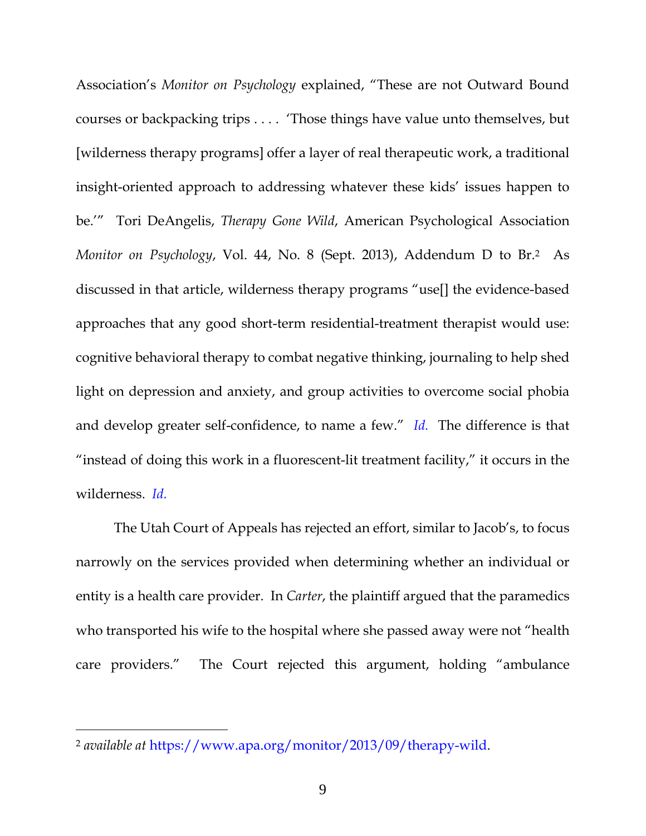Association's *Monitor on Psychology* explained, "These are not Outward Bound courses or backpacking trips . . . . 'Those things have value unto themselves, but [wilderness therapy programs] offer a layer of real therapeutic work, a traditional insight-oriented approach to addressing whatever these kids' issues happen to be.'" Tori DeAngelis, *Therapy Gone Wild*, American Psychological Association *Monitor on Psychology*, Vol. 44, No. 8 (Sept. 2013), Addendum D to Br. <sup>2</sup> As discussed in that article, wilderness therapy programs "use[] the evidence-based approaches that any good short-term residential-treatment therapist would use: cognitive behavioral therapy to combat negative thinking, journaling to help shed light on depression and anxiety, and group activities to overcome social phobia and develop greater self-confidence, to name a few." *[Id.](https://www.westlaw.com/Document/I00c42903f57311d9bf60c1d57ebc853e/View/FullText.html?transitionType=Default&contextData=(sc.Default)&VR=3.0&RS=da3.0)* The difference is that "instead of doing this work in a fluorescent-lit treatment facility," it occurs in the wilderness. *[Id.](https://www.westlaw.com/Document/I00c42903f57311d9bf60c1d57ebc853e/View/FullText.html?transitionType=Default&contextData=(sc.Default)&VR=3.0&RS=da3.0)*

The Utah Court of Appeals has rejected an effort, similar to Jacob's, to focus narrowly on the services provided when determining whether an individual or entity is a health care provider. In *Carter*, the plaintiff argued that the paramedics who transported his wife to the hospital where she passed away were not "health care providers." The Court rejected this argument, holding "ambulance

 $\overline{a}$ 

<sup>2</sup> *available at* [https://www.apa.org/monitor/2013/09/therapy-wild.](https://www.apa.org/monitor/2013/09/therapy-wild)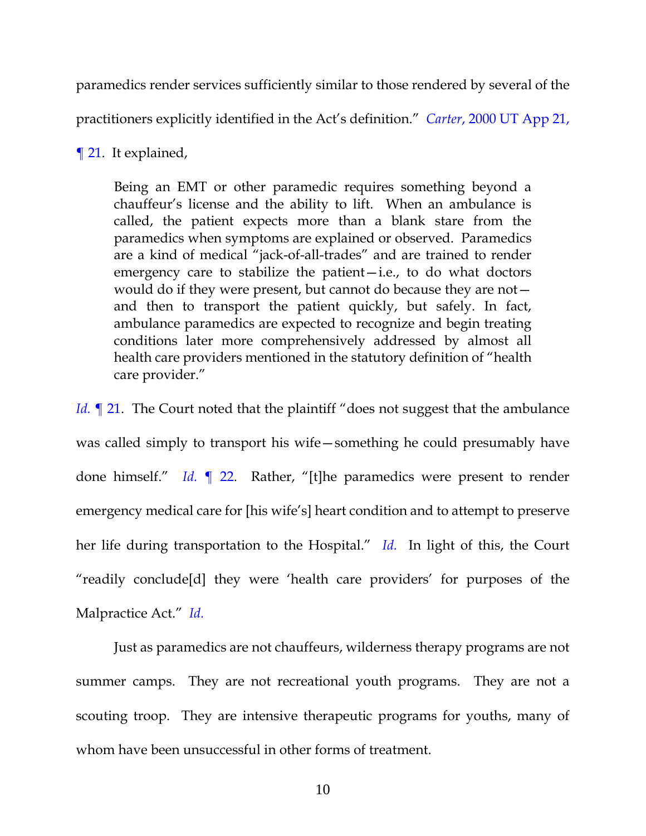paramedics render services sufficiently similar to those rendered by several of the practitioners explicitly identified in the Act's definition." *Carter*[, 2000 UT App 21,](https://www.westlaw.com/Document/Ieb156981f55311d9bf60c1d57ebc853e/View/FullText.html?transitionType=Default&contextData=(sc.Default)&VR=3.0&RS=da3.0) 

[¶ 21.](https://www.westlaw.com/Document/Ieb156981f55311d9bf60c1d57ebc853e/View/FullText.html?transitionType=Default&contextData=(sc.Default)&VR=3.0&RS=da3.0) It explained,

Being an EMT or other paramedic requires something beyond a chauffeur's license and the ability to lift. When an ambulance is called, the patient expects more than a blank stare from the paramedics when symptoms are explained or observed. Paramedics are a kind of medical "jack-of-all-trades" and are trained to render emergency care to stabilize the patient—i.e., to do what doctors would do if they were present, but cannot do because they are not and then to transport the patient quickly, but safely. In fact, ambulance paramedics are expected to recognize and begin treating conditions later more comprehensively addressed by almost all health care providers mentioned in the statutory definition of "health care provider."

*Id.* 121. The Court noted that the plaintiff "does not suggest that the ambulance was called simply to transport his wife—something he could presumably have done himself." *Id.* [¶ 22.](https://www.westlaw.com/Document/Ieb156981f55311d9bf60c1d57ebc853e/View/FullText.html?transitionType=Default&contextData=(sc.Default)&VR=3.0&RS=da3.0) Rather, "[t]he paramedics were present to render emergency medical care for [his wife's] heart condition and to attempt to preserve her life during transportation to the Hospital." *[Id.](https://www.westlaw.com/Document/Ieb156981f55311d9bf60c1d57ebc853e/View/FullText.html?transitionType=Default&contextData=(sc.Default)&VR=3.0&RS=da3.0)* In light of this, the Court "readily conclude[d] they were 'health care providers' for purposes of the Malpractice Act." *[Id.](https://www.westlaw.com/Document/Ieb156981f55311d9bf60c1d57ebc853e/View/FullText.html?transitionType=Default&contextData=(sc.Default)&VR=3.0&RS=da3.0)*

Just as paramedics are not chauffeurs, wilderness therapy programs are not summer camps. They are not recreational youth programs. They are not a scouting troop. They are intensive therapeutic programs for youths, many of whom have been unsuccessful in other forms of treatment.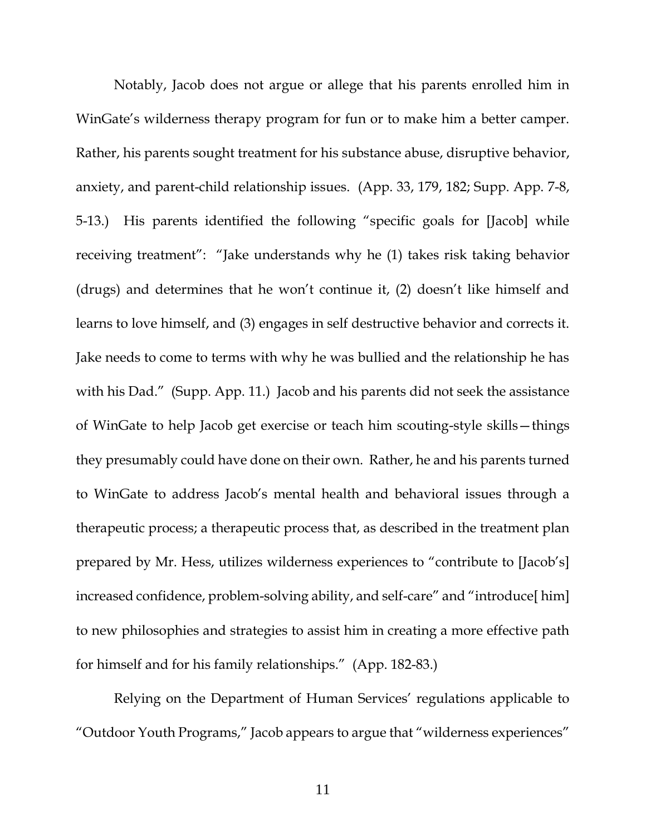Notably, Jacob does not argue or allege that his parents enrolled him in WinGate's wilderness therapy program for fun or to make him a better camper. Rather, his parents sought treatment for his substance abuse, disruptive behavior, anxiety, and parent-child relationship issues. (App. 33, 179, 182; Supp. App. 7-8, 5-13.) His parents identified the following "specific goals for [Jacob] while receiving treatment": "Jake understands why he (1) takes risk taking behavior (drugs) and determines that he won't continue it, (2) doesn't like himself and learns to love himself, and (3) engages in self destructive behavior and corrects it. Jake needs to come to terms with why he was bullied and the relationship he has with his Dad." (Supp. App. 11.) Jacob and his parents did not seek the assistance of WinGate to help Jacob get exercise or teach him scouting-style skills—things they presumably could have done on their own. Rather, he and his parents turned to WinGate to address Jacob's mental health and behavioral issues through a therapeutic process; a therapeutic process that, as described in the treatment plan prepared by Mr. Hess, utilizes wilderness experiences to "contribute to [Jacob's] increased confidence, problem-solving ability, and self-care" and "introduce[ him] to new philosophies and strategies to assist him in creating a more effective path for himself and for his family relationships." (App. 182-83.)

Relying on the Department of Human Services' regulations applicable to "Outdoor Youth Programs," Jacob appears to argue that "wilderness experiences"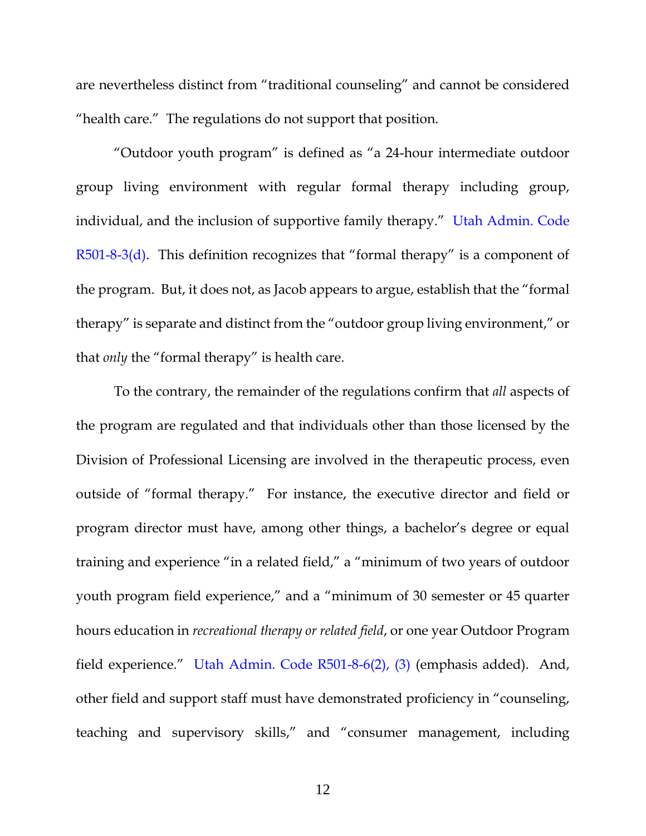are nevertheless distinct from "traditional counseling" and cannot be considered "health care." The regulations do not support that position.

"Outdoor youth program" is defined as "a 24-hour intermediate outdoor group living environment with regular formal therapy including group, individual, and the inclusion of supportive family therapy." [Utah Admin. Code](https://www.westlaw.com/Document/IE18D966CA4394F98B792FD6073B180E6/View/FullText.html?transitionType=Default&contextData=(sc.Default)&VR=3.0&RS=da3.0)  [R501-8-3\(d\)](https://www.westlaw.com/Document/IE18D966CA4394F98B792FD6073B180E6/View/FullText.html?transitionType=Default&contextData=(sc.Default)&VR=3.0&RS=da3.0). This definition recognizes that "formal therapy" is a component of the program. But, it does not, as Jacob appears to argue, establish that the "formal therapy" is separate and distinct from the "outdoor group living environment," or that *only* the "formal therapy" is health care.

To the contrary, the remainder of the regulations confirm that *all* aspects of the program are regulated and that individuals other than those licensed by the Division of Professional Licensing are involved in the therapeutic process, even outside of "formal therapy." For instance, the executive director and field or program director must have, among other things, a bachelor's degree or equal training and experience "in a related field," a "minimum of two years of outdoor youth program field experience," and a "minimum of 30 semester or 45 quarter hours education in *recreational therapy or related field*, or one year Outdoor Program field experience." [Utah Admin. Code R501-8-6\(2\), \(3\)](https://www.westlaw.com/Document/I7333ED713C714E74B3CE297D9CB77B46/View/FullText.html?transitionType=Default&contextData=(sc.Default)&VR=3.0&RS=da3.0) (emphasis added). And, other field and support staff must have demonstrated proficiency in "counseling, teaching and supervisory skills," and "consumer management, including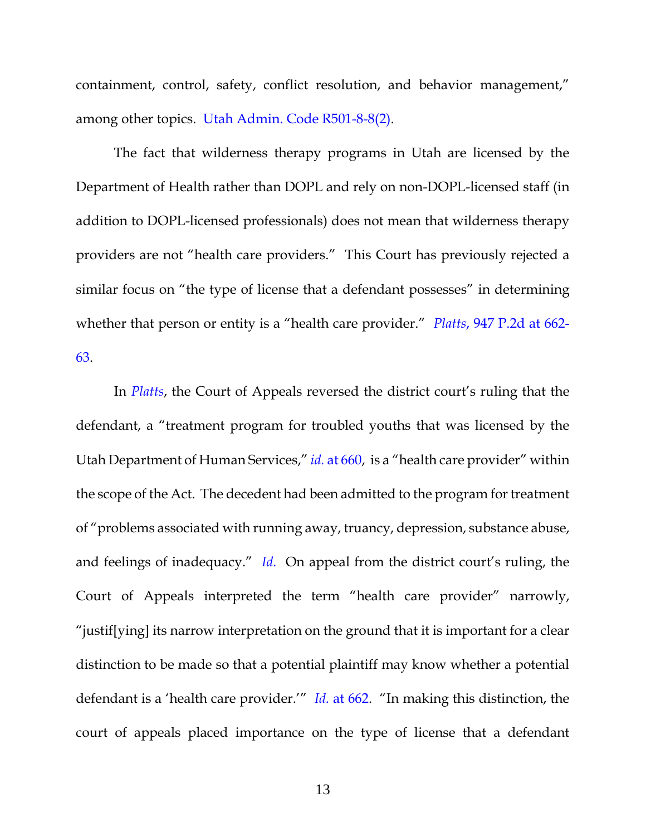containment, control, safety, conflict resolution, and behavior management," among other topics. [Utah Admin. Code R501-8-8\(2\).](https://www.westlaw.com/Document/I57CA64F0EF7F4A71B2CF1C9578367466/View/FullText.html?transitionType=Default&contextData=(sc.Default)&VR=3.0&RS=da3.0)

The fact that wilderness therapy programs in Utah are licensed by the Department of Health rather than DOPL and rely on non-DOPL-licensed staff (in addition to DOPL-licensed professionals) does not mean that wilderness therapy providers are not "health care providers." This Court has previously rejected a similar focus on "the type of license that a defendant possesses" in determining whether that person or entity is a "health care provider." *Platts*[, 947 P.2d at 662-](https://www.westlaw.com/Document/I00c42903f57311d9bf60c1d57ebc853e/View/FullText.html?transitionType=Default&contextData=(sc.Default)&VR=3.0&RS=da3.0&fragmentIdentifier=co_pp_sp_661_662) [63.](https://www.westlaw.com/Document/I00c42903f57311d9bf60c1d57ebc853e/View/FullText.html?transitionType=Default&contextData=(sc.Default)&VR=3.0&RS=da3.0&fragmentIdentifier=co_pp_sp_661_662)

In *[Platts](https://www.westlaw.com/Document/I00c42903f57311d9bf60c1d57ebc853e/View/FullText.html?transitionType=Default&contextData=(sc.Default)&VR=3.0&RS=da3.0&fragmentIdentifier=co_pp_sp_661_662)*, the Court of Appeals reversed the district court's ruling that the defendant, a "treatment program for troubled youths that was licensed by the Utah Department of Human Services," *id.* [at 660](https://www.westlaw.com/Document/I00c42903f57311d9bf60c1d57ebc853e/View/FullText.html?transitionType=Default&contextData=(sc.Default)&VR=3.0&RS=da3.0&fragmentIdentifier=co_pp_sp_661_660), is a "health care provider" within the scope of the Act. The decedent had been admitted to the program for treatment of "problems associated with running away, truancy, depression, substance abuse, and feelings of inadequacy." *[Id.](https://www.westlaw.com/Document/I00c42903f57311d9bf60c1d57ebc853e/View/FullText.html?transitionType=Default&contextData=(sc.Default)&VR=3.0&RS=da3.0)* On appeal from the district court's ruling, the Court of Appeals interpreted the term "health care provider" narrowly, "justif[ying] its narrow interpretation on the ground that it is important for a clear distinction to be made so that a potential plaintiff may know whether a potential defendant is a 'health care provider.'" *Id.* [at 662](https://www.westlaw.com/Document/I00c42903f57311d9bf60c1d57ebc853e/View/FullText.html?transitionType=Default&contextData=(sc.Default)&VR=3.0&RS=da3.0&fragmentIdentifier=co_pp_sp_661_662). "In making this distinction, the court of appeals placed importance on the type of license that a defendant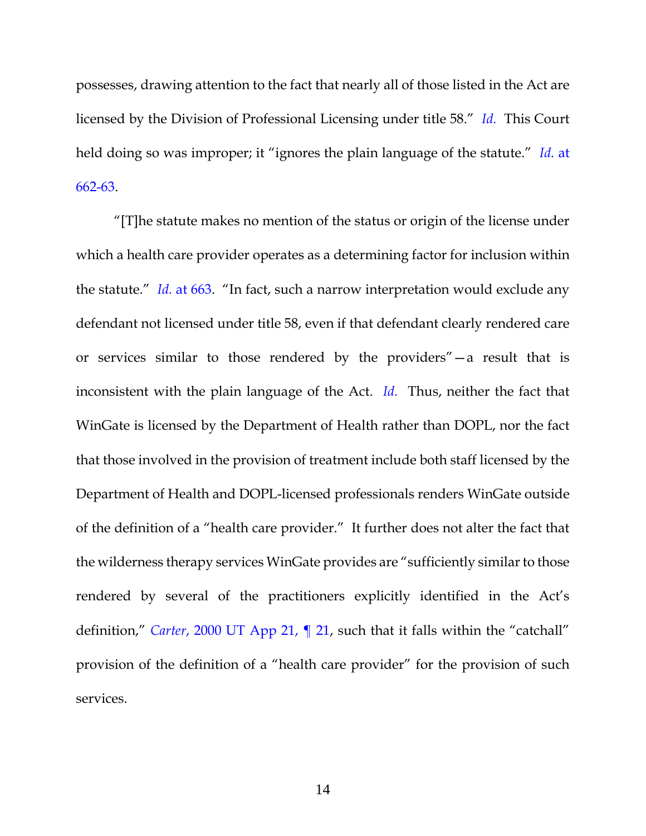possesses, drawing attention to the fact that nearly all of those listed in the Act are licensed by the Division of Professional Licensing under title 58." *[Id.](https://www.westlaw.com/Document/I00c42903f57311d9bf60c1d57ebc853e/View/FullText.html?transitionType=Default&contextData=(sc.Default)&VR=3.0&RS=da3.0)* This Court held doing so was improper; it "ignores the plain language of the statute." *[Id.](https://www.westlaw.com/Document/I00c42903f57311d9bf60c1d57ebc853e/View/FullText.html?transitionType=Default&contextData=(sc.Default)&VR=3.0&RS=da3.0&fragmentIdentifier=co_pp_sp_661_662)* at [662-63.](https://www.westlaw.com/Document/I00c42903f57311d9bf60c1d57ebc853e/View/FullText.html?transitionType=Default&contextData=(sc.Default)&VR=3.0&RS=da3.0&fragmentIdentifier=co_pp_sp_661_662)

"[T]he statute makes no mention of the status or origin of the license under which a health care provider operates as a determining factor for inclusion within the statute." *Id.* [at 663](https://www.westlaw.com/Document/I00c42903f57311d9bf60c1d57ebc853e/View/FullText.html?transitionType=Default&contextData=(sc.Default)&VR=3.0&RS=da3.0&fragmentIdentifier=co_pp_sp_661_663). "In fact, such a narrow interpretation would exclude any defendant not licensed under title 58, even if that defendant clearly rendered care or services similar to those rendered by the providers"—a result that is inconsistent with the plain language of the Act. *[Id.](https://www.westlaw.com/Document/I00c42903f57311d9bf60c1d57ebc853e/View/FullText.html?transitionType=Default&contextData=(sc.Default)&VR=3.0&RS=da3.0)* Thus, neither the fact that WinGate is licensed by the Department of Health rather than DOPL, nor the fact that those involved in the provision of treatment include both staff licensed by the Department of Health and DOPL-licensed professionals renders WinGate outside of the definition of a "health care provider." It further does not alter the fact that the wilderness therapy services WinGate provides are "sufficiently similar to those rendered by several of the practitioners explicitly identified in the Act's definition," *Carter*[, 2000 UT App 21, ¶ 21](https://www.westlaw.com/Document/Ieb156981f55311d9bf60c1d57ebc853e/View/FullText.html?transitionType=Default&contextData=(sc.Default)&VR=3.0&RS=da3.0), such that it falls within the "catchall" provision of the definition of a "health care provider" for the provision of such services.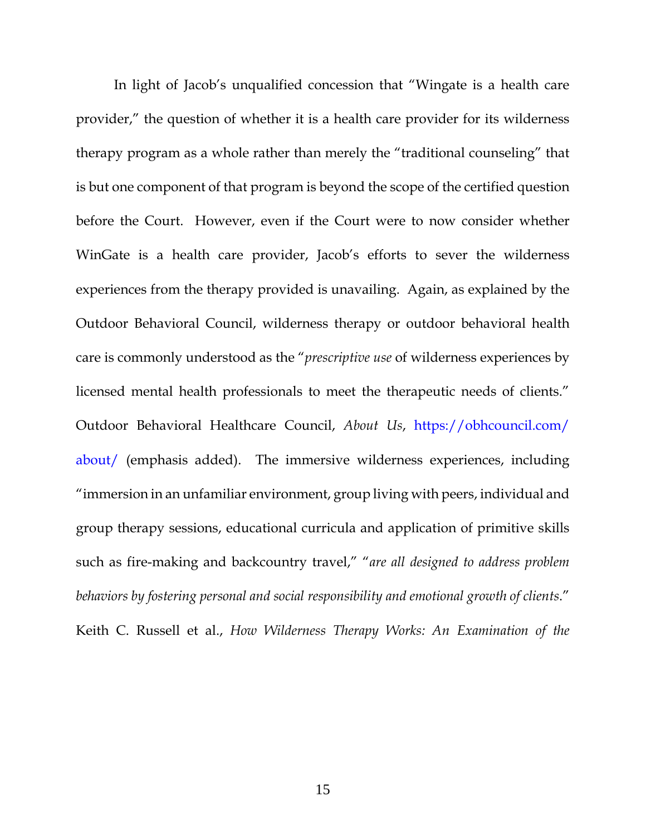In light of Jacob's unqualified concession that "Wingate is a health care provider," the question of whether it is a health care provider for its wilderness therapy program as a whole rather than merely the "traditional counseling" that is but one component of that program is beyond the scope of the certified question before the Court. However, even if the Court were to now consider whether WinGate is a health care provider, Jacob's efforts to sever the wilderness experiences from the therapy provided is unavailing. Again, as explained by the Outdoor Behavioral Council, wilderness therapy or outdoor behavioral health care is commonly understood as the "*prescriptive use* of wilderness experiences by licensed mental health professionals to meet the therapeutic needs of clients." Outdoor Behavioral Healthcare Council, *About Us*, [https://obhcouncil.com/](https://obhcouncil.com/%20about/)  [about/](https://obhcouncil.com/%20about/) (emphasis added). The immersive wilderness experiences, including "immersion in an unfamiliar environment, group living with peers, individual and group therapy sessions, educational curricula and application of primitive skills such as fire-making and backcountry travel," "*are all designed to address problem behaviors by fostering personal and social responsibility and emotional growth of clients*." Keith C. Russell et al., *How Wilderness Therapy Works: An Examination of the*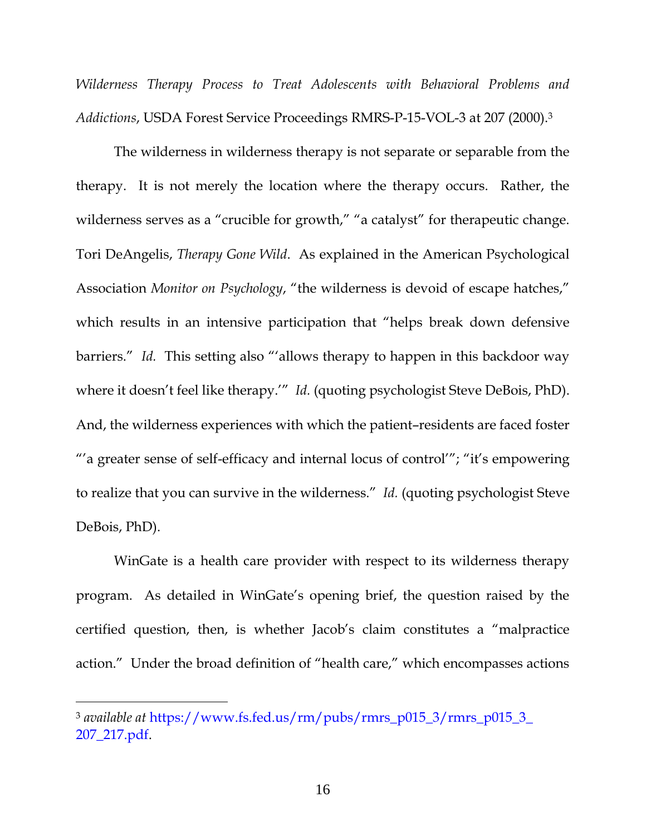*Wilderness Therapy Process to Treat Adolescents with Behavioral Problems and Addictions*, USDA Forest Service Proceedings RMRS-P-15-VOL-3 at 207 (2000). 3

The wilderness in wilderness therapy is not separate or separable from the therapy. It is not merely the location where the therapy occurs. Rather, the wilderness serves as a "crucible for growth," "a catalyst" for therapeutic change. Tori DeAngelis, *Therapy Gone Wild*. As explained in the American Psychological Association *Monitor on Psychology*, "the wilderness is devoid of escape hatches," which results in an intensive participation that "helps break down defensive barriers." *Id.* This setting also "'allows therapy to happen in this backdoor way where it doesn't feel like therapy.'" *Id.* (quoting psychologist Steve DeBois, PhD). And, the wilderness experiences with which the patient–residents are faced foster "'a greater sense of self-efficacy and internal locus of control'"; "it's empowering to realize that you can survive in the wilderness." *Id.* (quoting psychologist Steve DeBois, PhD).

WinGate is a health care provider with respect to its wilderness therapy program. As detailed in WinGate's opening brief, the question raised by the certified question, then, is whether Jacob's claim constitutes a "malpractice action." Under the broad definition of "health care," which encompasses actions

 $\overline{a}$ 

<sup>3</sup> *available at* [https://www.fs.fed.us/rm/pubs/rmrs\\_p015\\_3/rmrs\\_p015\\_3\\_](https://www.fs.fed.us/rm/pubs/rmrs_p015_3/rmrs_p015_3_%20207_217.pdf)  [207\\_217.pdf.](https://www.fs.fed.us/rm/pubs/rmrs_p015_3/rmrs_p015_3_%20207_217.pdf)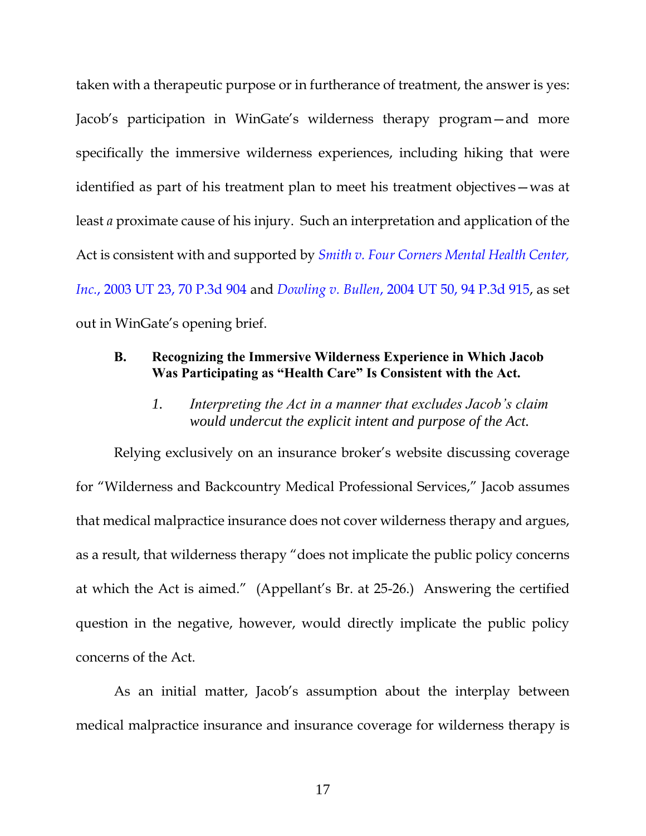taken with a therapeutic purpose or in furtherance of treatment, the answer is yes: Jacob's participation in WinGate's wilderness therapy program—and more specifically the immersive wilderness experiences, including hiking that were identified as part of his treatment plan to meet his treatment objectives—was at least *a* proximate cause of his injury. Such an interpretation and application of the Act is consistent with and supported by *[Smith v. Four Corners Mental Health Center,](https://www.westlaw.com/Document/I86e822cdf59611d983e7e9deff98dc6f/View/FullText.html?transitionType=Default&contextData=(sc.Default)&VR=3.0&RS=da3.0)  Inc.*[, 2003 UT 23, 70 P.3d 904](https://www.westlaw.com/Document/I86e822cdf59611d983e7e9deff98dc6f/View/FullText.html?transitionType=Default&contextData=(sc.Default)&VR=3.0&RS=da3.0) and *Dowling v. Bullen*[, 2004 UT 50, 94 P.3d 915,](https://www.westlaw.com/Document/I1620e14bf79d11d9b386b232635db992/View/FullText.html?transitionType=Default&contextData=(sc.Default)&VR=3.0&RS=da3.0) as set out in WinGate's opening brief.

### <span id="page-23-0"></span>**B. Recognizing the Immersive Wilderness Experience in Which Jacob Was Participating as "Health Care" Is Consistent with the Act.**

*1. Interpreting the Act in a manner that excludes Jacob's claim would undercut the explicit intent and purpose of the Act.*

<span id="page-23-1"></span>Relying exclusively on an insurance broker's website discussing coverage for "Wilderness and Backcountry Medical Professional Services," Jacob assumes that medical malpractice insurance does not cover wilderness therapy and argues, as a result, that wilderness therapy "does not implicate the public policy concerns at which the Act is aimed." (Appellant's Br. at 25-26.) Answering the certified question in the negative, however, would directly implicate the public policy concerns of the Act.

As an initial matter, Jacob's assumption about the interplay between medical malpractice insurance and insurance coverage for wilderness therapy is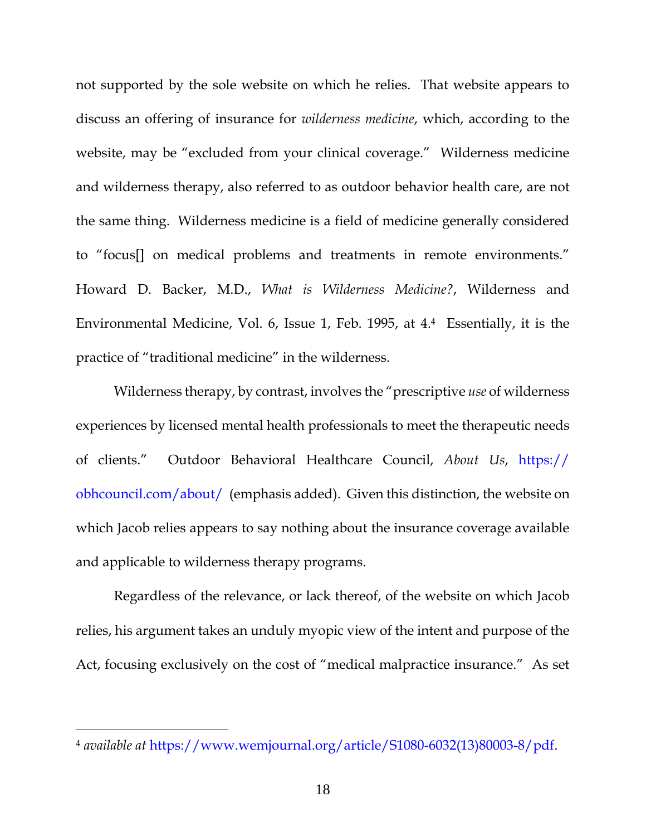not supported by the sole website on which he relies. That website appears to discuss an offering of insurance for *wilderness medicine*, which, according to the website, may be "excluded from your clinical coverage." Wilderness medicine and wilderness therapy, also referred to as outdoor behavior health care, are not the same thing. Wilderness medicine is a field of medicine generally considered to "focus[] on medical problems and treatments in remote environments." Howard D. Backer, M.D., *What is Wilderness Medicine?*, Wilderness and Environmental Medicine, Vol. 6, Issue 1, Feb. 1995, at 4. <sup>4</sup> Essentially, it is the practice of "traditional medicine" in the wilderness.

Wilderness therapy, by contrast, involves the "prescriptive *use* of wilderness experiences by licensed mental health professionals to meet the therapeutic needs of clients." Outdoor Behavioral Healthcare Council, *About Us*, https:// obhcouncil.com/about/ (emphasis added). Given this distinction, the website on which Jacob relies appears to say nothing about the insurance coverage available and applicable to wilderness therapy programs.

Regardless of the relevance, or lack thereof, of the website on which Jacob relies, his argument takes an unduly myopic view of the intent and purpose of the Act, focusing exclusively on the cost of "medical malpractice insurance." As set

 $\overline{a}$ 

<sup>4</sup> *available at* [https://www.wemjournal.org/article/S1080-6032\(13\)80003-8/pdf.](https://www.wemjournal.org/article/S1080-6032(13)80003-8/pdf)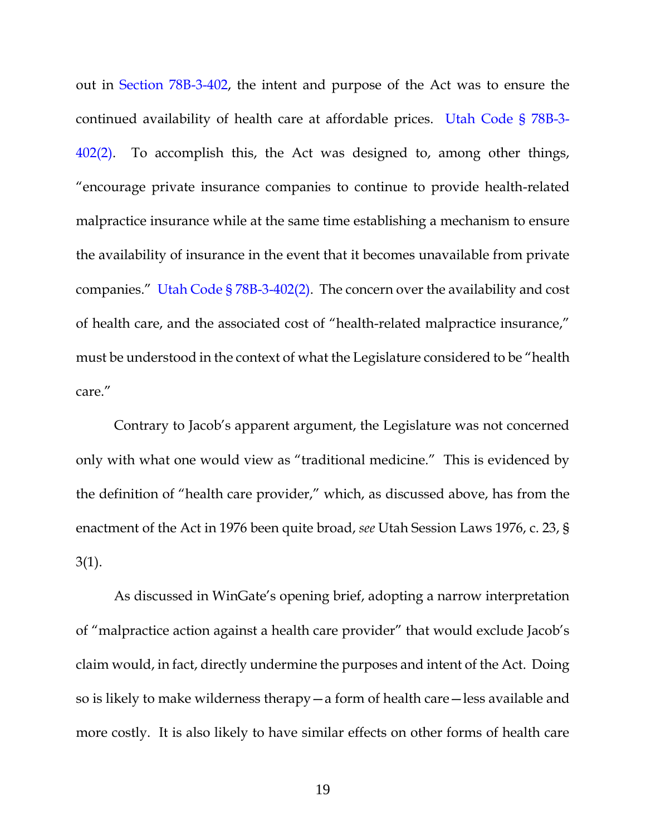out in [Section 78B-3-402,](https://www.westlaw.com/Document/N5FF522D0F43F11DC9638DC1FE7902831/View/FullText.html?transitionType=Default&contextData=(sc.Default)&VR=3.0&RS=da3.0) the intent and purpose of the Act was to ensure the continued availability of health care at affordable prices. [Utah Code § 78B-3-](https://www.westlaw.com/Document/N5FF522D0F43F11DC9638DC1FE7902831/View/FullText.html?transitionType=Default&contextData=(sc.Default)&VR=3.0&RS=da3.0) [402\(2\).](https://www.westlaw.com/Document/N5FF522D0F43F11DC9638DC1FE7902831/View/FullText.html?transitionType=Default&contextData=(sc.Default)&VR=3.0&RS=da3.0) To accomplish this, the Act was designed to, among other things, "encourage private insurance companies to continue to provide health-related malpractice insurance while at the same time establishing a mechanism to ensure the availability of insurance in the event that it becomes unavailable from private companies." Utah Code § [78B-3-402\(2\).](https://www.westlaw.com/Document/N5FF522D0F43F11DC9638DC1FE7902831/View/FullText.html?transitionType=Default&contextData=(sc.Default)&VR=3.0&RS=da3.0) The concern over the availability and cost of health care, and the associated cost of "health-related malpractice insurance," must be understood in the context of what the Legislature considered to be "health care."

Contrary to Jacob's apparent argument, the Legislature was not concerned only with what one would view as "traditional medicine." This is evidenced by the definition of "health care provider," which, as discussed above, has from the enactment of the Act in 1976 been quite broad, *see* Utah Session Laws 1976, c. 23, § 3(1).

As discussed in WinGate's opening brief, adopting a narrow interpretation of "malpractice action against a health care provider" that would exclude Jacob's claim would, in fact, directly undermine the purposes and intent of the Act. Doing so is likely to make wilderness therapy—a form of health care—less available and more costly. It is also likely to have similar effects on other forms of health care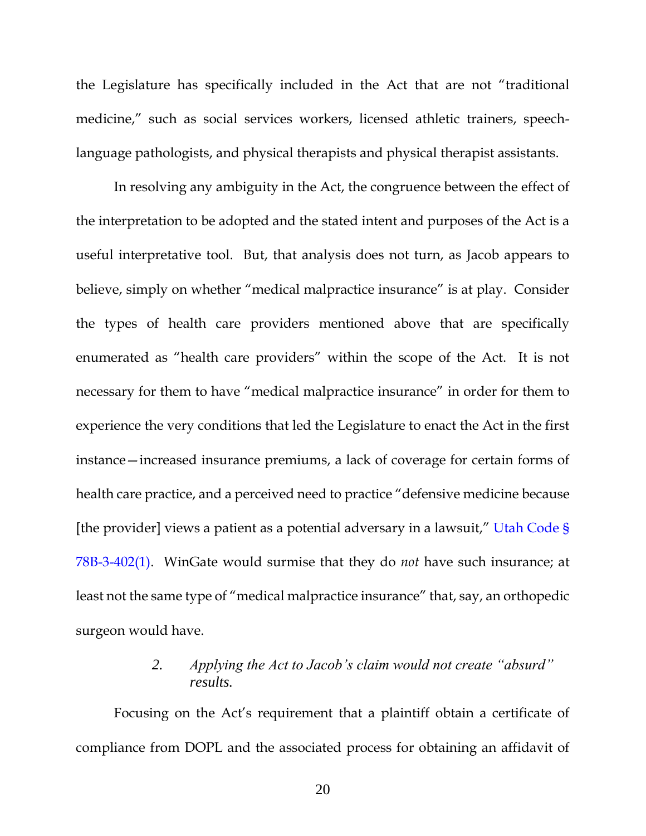the Legislature has specifically included in the Act that are not "traditional medicine," such as social services workers, licensed athletic trainers, speechlanguage pathologists, and physical therapists and physical therapist assistants.

In resolving any ambiguity in the Act, the congruence between the effect of the interpretation to be adopted and the stated intent and purposes of the Act is a useful interpretative tool. But, that analysis does not turn, as Jacob appears to believe, simply on whether "medical malpractice insurance" is at play. Consider the types of health care providers mentioned above that are specifically enumerated as "health care providers" within the scope of the Act. It is not necessary for them to have "medical malpractice insurance" in order for them to experience the very conditions that led the Legislature to enact the Act in the first instance—increased insurance premiums, a lack of coverage for certain forms of health care practice, and a perceived need to practice "defensive medicine because [the provider] views a patient as a potential adversary in a lawsuit," [Utah Code §](https://www.westlaw.com/Document/N5FF522D0F43F11DC9638DC1FE7902831/View/FullText.html?transitionType=Default&contextData=(sc.Default)&VR=3.0&RS=da3.0)  [78B-3-402\(1\).](https://www.westlaw.com/Document/N5FF522D0F43F11DC9638DC1FE7902831/View/FullText.html?transitionType=Default&contextData=(sc.Default)&VR=3.0&RS=da3.0) WinGate would surmise that they do *not* have such insurance; at least not the same type of "medical malpractice insurance" that, say, an orthopedic surgeon would have.

# *2. Applying the Act to Jacob's claim would not create "absurd" results.*

<span id="page-26-0"></span>Focusing on the Act's requirement that a plaintiff obtain a certificate of compliance from DOPL and the associated process for obtaining an affidavit of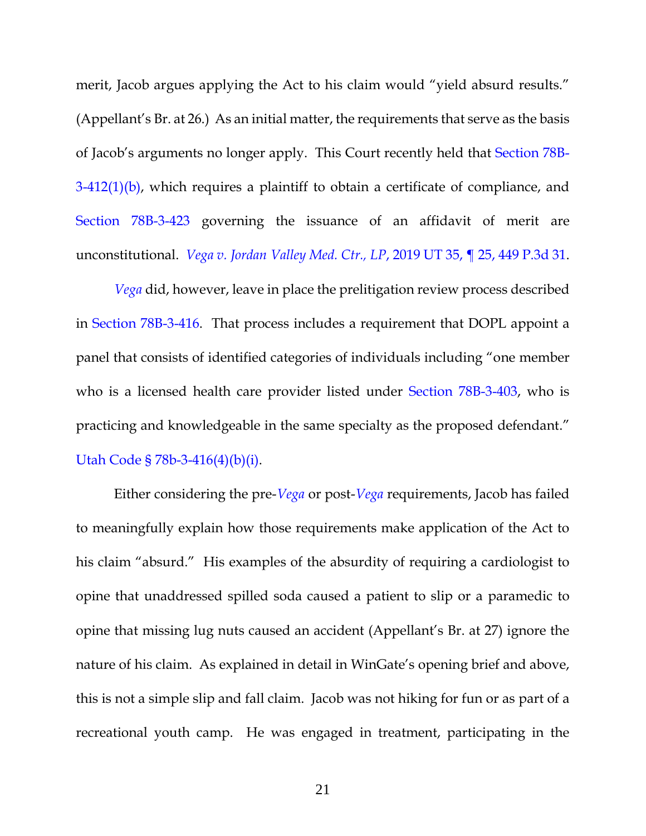merit, Jacob argues applying the Act to his claim would "yield absurd results." (Appellant's Br. at 26.) As an initial matter, the requirements that serve as the basis of Jacob's arguments no longer apply. This Court recently held that [Section 78B-](https://1.next.westlaw.com/Document/NE95E4A60F43F11DC90A9ABEDAA6136B0/View/FullText.html?originationContext=documenttoc&transitionType=CategoryPageItem&contextData=(sc.Default)) $3-412(1)(b)$ , which requires a plaintiff to obtain a certificate of compliance, and [Section 78B-3-423](https://1.next.westlaw.com/Document/NC286C1005FC411E8911880B8173A9115/View/FullText.html?originationContext=documenttoc&transitionType=CategoryPageItem&contextData=(sc.Default)) governing the issuance of an affidavit of merit are unconstitutional. *[Vega v. Jordan Valley Med. Ctr., LP](https://www.westlaw.com/Document/Icbf326e0ac9711e9ba33b03ae9101fb2/View/FullText.html?transitionType=Default&contextData=(sc.Default)&VR=3.0&RS=da3.0)*, 2019 UT 35, ¶ 25, 449 P.3d 31.

*[Vega](https://www.westlaw.com/Document/Icbf326e0ac9711e9ba33b03ae9101fb2/View/FullText.html?transitionType=Default&contextData=(sc.Default)&VR=3.0&RS=da3.0)* did, however, leave in place the prelitigation review process described in [Section 78B-3-416.](https://1.next.westlaw.com/Document/NA83641E0688411E8BEBFB1747FA1CA29/View/FullText.html?originationContext=documenttoc&transitionType=CategoryPageItem&contextData=(sc.Default)) That process includes a requirement that DOPL appoint a panel that consists of identified categories of individuals including "one member who is a licensed health care provider listed under [Section 78B-3-403,](https://1.next.westlaw.com/Document/N0E6B990085B811E9A9B08E2FC34AD275/View/FullText.html?originationContext=documenttoc&transitionType=CategoryPageItem&contextData=(sc.Default)) who is practicing and knowledgeable in the same specialty as the proposed defendant." [Utah Code § 78b-3-416\(4\)\(b\)\(i\).](https://www.westlaw.com/Document/NA83641E0688411E8BEBFB1747FA1CA29/View/FullText.html?transitionType=Default&contextData=(sc.Default)&VR=3.0&RS=da3.0)

Either considering the pre-*[Vega](https://www.westlaw.com/Document/Icbf326e0ac9711e9ba33b03ae9101fb2/View/FullText.html?transitionType=Default&contextData=(sc.Default)&VR=3.0&RS=da3.0)* or post-*[Vega](https://www.westlaw.com/Document/Icbf326e0ac9711e9ba33b03ae9101fb2/View/FullText.html?transitionType=Default&contextData=(sc.Default)&VR=3.0&RS=da3.0)* requirements, Jacob has failed to meaningfully explain how those requirements make application of the Act to his claim "absurd." His examples of the absurdity of requiring a cardiologist to opine that unaddressed spilled soda caused a patient to slip or a paramedic to opine that missing lug nuts caused an accident (Appellant's Br. at 27) ignore the nature of his claim. As explained in detail in WinGate's opening brief and above, this is not a simple slip and fall claim. Jacob was not hiking for fun or as part of a recreational youth camp. He was engaged in treatment, participating in the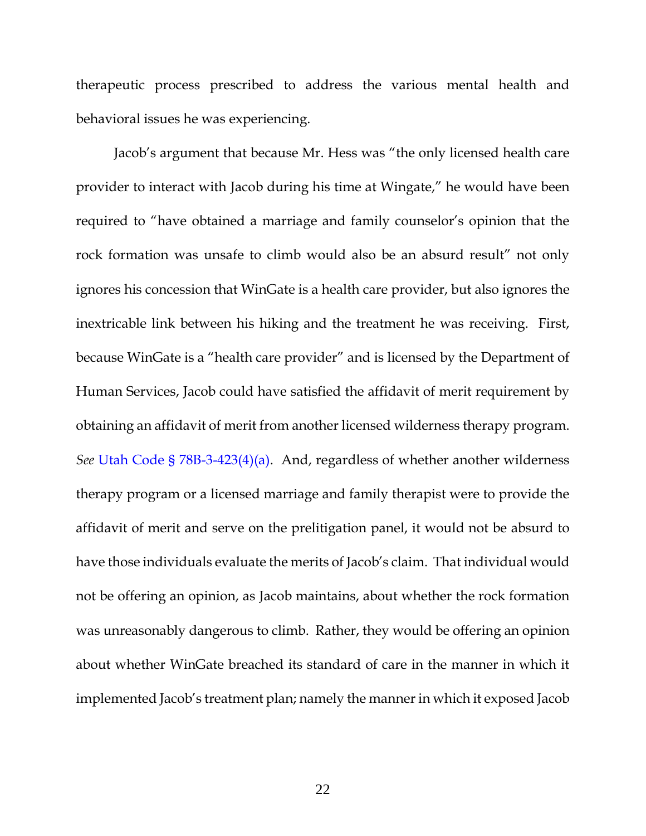therapeutic process prescribed to address the various mental health and behavioral issues he was experiencing.

Jacob's argument that because Mr. Hess was "the only licensed health care provider to interact with Jacob during his time at Wingate," he would have been required to "have obtained a marriage and family counselor's opinion that the rock formation was unsafe to climb would also be an absurd result" not only ignores his concession that WinGate is a health care provider, but also ignores the inextricable link between his hiking and the treatment he was receiving. First, because WinGate is a "health care provider" and is licensed by the Department of Human Services, Jacob could have satisfied the affidavit of merit requirement by obtaining an affidavit of merit from another licensed wilderness therapy program. *See* [Utah Code § 78B-3-423\(4\)\(a\).](https://www.westlaw.com/Document/NC286C1005FC411E8911880B8173A9115/View/FullText.html?transitionType=Default&contextData=(sc.Default)&VR=3.0&RS=da3.0) And, regardless of whether another wilderness therapy program or a licensed marriage and family therapist were to provide the affidavit of merit and serve on the prelitigation panel, it would not be absurd to have those individuals evaluate the merits of Jacob's claim. That individual would not be offering an opinion, as Jacob maintains, about whether the rock formation was unreasonably dangerous to climb. Rather, they would be offering an opinion about whether WinGate breached its standard of care in the manner in which it implemented Jacob's treatment plan; namely the manner in which it exposed Jacob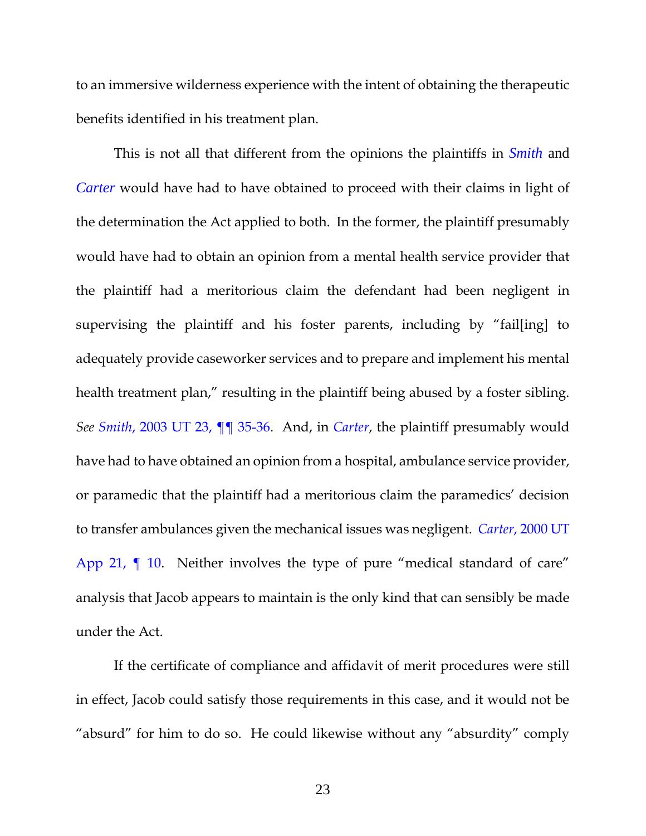to an immersive wilderness experience with the intent of obtaining the therapeutic benefits identified in his treatment plan.

This is not all that different from the opinions the plaintiffs in *[Smith](https://www.westlaw.com/Document/I86e822cdf59611d983e7e9deff98dc6f/View/FullText.html?transitionType=Default&contextData=(sc.Default)&VR=3.0&RS=da3.0)* and *[Carter](https://www.westlaw.com/Document/Ieb156981f55311d9bf60c1d57ebc853e/View/FullText.html?transitionType=Default&contextData=(sc.Default)&VR=3.0&RS=da3.0)* would have had to have obtained to proceed with their claims in light of the determination the Act applied to both. In the former, the plaintiff presumably would have had to obtain an opinion from a mental health service provider that the plaintiff had a meritorious claim the defendant had been negligent in supervising the plaintiff and his foster parents, including by "fail[ing] to adequately provide caseworker services and to prepare and implement his mental health treatment plan," resulting in the plaintiff being abused by a foster sibling. *See Smith*[, 2003 UT 23, ¶¶ 35-36.](https://www.westlaw.com/Document/I86e822cdf59611d983e7e9deff98dc6f/View/FullText.html?transitionType=Default&contextData=(sc.Default)&VR=3.0&RS=da3.0) And, in *[Carter](https://www.westlaw.com/Document/Ieb156981f55311d9bf60c1d57ebc853e/View/FullText.html?transitionType=Default&contextData=(sc.Default)&VR=3.0&RS=da3.0)*, the plaintiff presumably would have had to have obtained an opinion from a hospital, ambulance service provider, or paramedic that the plaintiff had a meritorious claim the paramedics' decision to transfer ambulances given the mechanical issues was negligent. *Carter*[, 2000 UT](https://www.westlaw.com/Document/Ieb156981f55311d9bf60c1d57ebc853e/View/FullText.html?transitionType=Default&contextData=(sc.Default)&VR=3.0&RS=da3.0)  App 21,  $\P$  10. Neither involves the type of pure "medical standard of care" analysis that Jacob appears to maintain is the only kind that can sensibly be made under the Act.

If the certificate of compliance and affidavit of merit procedures were still in effect, Jacob could satisfy those requirements in this case, and it would not be "absurd" for him to do so. He could likewise without any "absurdity" comply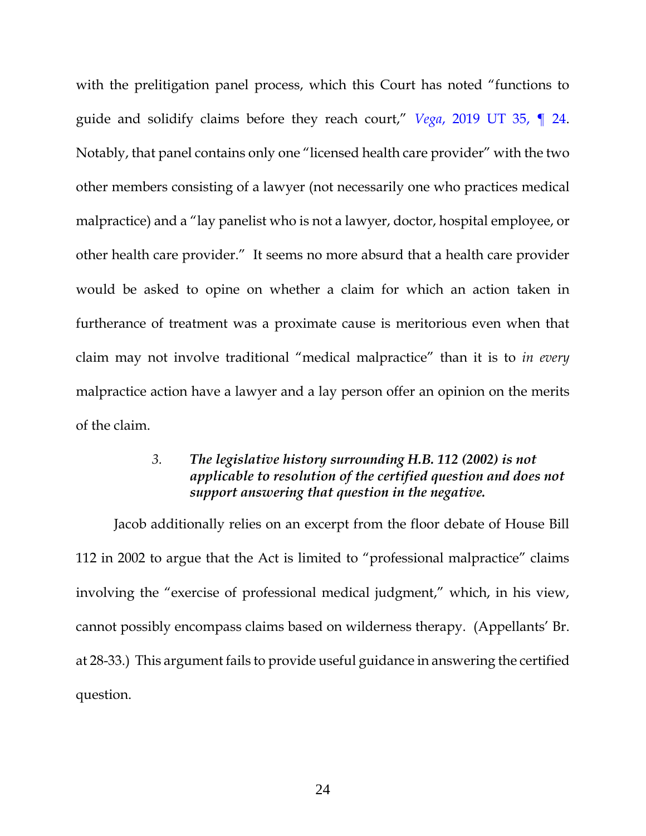with the prelitigation panel process, which this Court has noted "functions to guide and solidify claims before they reach court," *Vega*[, 2019 UT 35, ¶ 24.](https://www.westlaw.com/Document/Icbf326e0ac9711e9ba33b03ae9101fb2/View/FullText.html?transitionType=Default&contextData=(sc.Default)&VR=3.0&RS=da3.0) Notably, that panel contains only one "licensed health care provider" with the two other members consisting of a lawyer (not necessarily one who practices medical malpractice) and a "lay panelist who is not a lawyer, doctor, hospital employee, or other health care provider." It seems no more absurd that a health care provider would be asked to opine on whether a claim for which an action taken in furtherance of treatment was a proximate cause is meritorious even when that claim may not involve traditional "medical malpractice" than it is to *in every*  malpractice action have a lawyer and a lay person offer an opinion on the merits of the claim.

### *3. The legislative history surrounding H.B. 112 (2002) is not applicable to resolution of the certified question and does not support answering that question in the negative.*

<span id="page-30-0"></span>Jacob additionally relies on an excerpt from the floor debate of House Bill 112 in 2002 to argue that the Act is limited to "professional malpractice" claims involving the "exercise of professional medical judgment," which, in his view, cannot possibly encompass claims based on wilderness therapy. (Appellants' Br. at 28-33.) This argument fails to provide useful guidance in answering the certified question.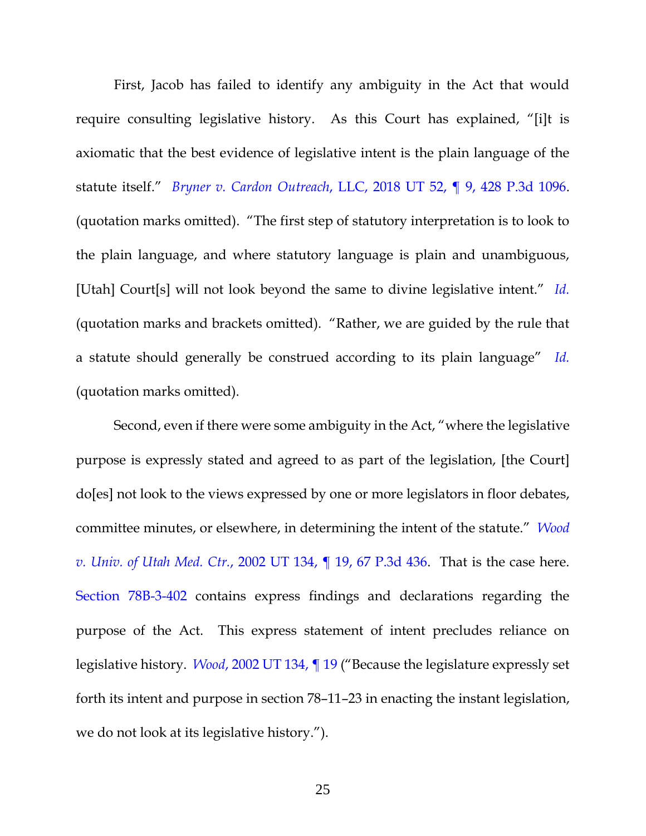First, Jacob has failed to identify any ambiguity in the Act that would require consulting legislative history. As this Court has explained, "[i]t is axiomatic that the best evidence of legislative intent is the plain language of the statute itself." *Bryner v. Cardon Outreach*[, LLC, 2018 UT 52, ¶ 9, 428 P.3d 1096.](https://www.westlaw.com/Document/If93e4ff0c11311e88037ff68a1223ab1/View/FullText.html?transitionType=Default&contextData=(sc.Default)&VR=3.0&RS=da3.0) (quotation marks omitted). "The first step of statutory interpretation is to look to the plain language, and where statutory language is plain and unambiguous, [Utah] Court[s] will not look beyond the same to divine legislative intent." *[Id.](https://www.westlaw.com/Document/If93e4ff0c11311e88037ff68a1223ab1/View/FullText.html?transitionType=Default&contextData=(sc.Default)&VR=3.0&RS=da3.0)* (quotation marks and brackets omitted). "Rather, we are guided by the rule that a statute should generally be construed according to its plain language" *[Id.](https://www.westlaw.com/Document/If93e4ff0c11311e88037ff68a1223ab1/View/FullText.html?transitionType=Default&contextData=(sc.Default)&VR=3.0&RS=da3.0)* (quotation marks omitted).

Second, even if there were some ambiguity in the Act, "where the legislative purpose is expressly stated and agreed to as part of the legislation, [the Court] do[es] not look to the views expressed by one or more legislators in floor debates, committee minutes, or elsewhere, in determining the intent of the statute." *[Wood](https://www.westlaw.com/Document/I8ee0446cf53e11d983e7e9deff98dc6f/View/FullText.html?transitionType=Default&contextData=(sc.Default)&VR=3.0&RS=da3.0)  v. Univ. of Utah Med. Ctr.*[, 2002 UT 134, ¶ 19, 67 P.3d 436.](https://www.westlaw.com/Document/I8ee0446cf53e11d983e7e9deff98dc6f/View/FullText.html?transitionType=Default&contextData=(sc.Default)&VR=3.0&RS=da3.0) That is the case here. [Section 78B-3-402](https://www.westlaw.com/Document/N5FF522D0F43F11DC9638DC1FE7902831/View/FullText.html?transitionType=Default&contextData=(sc.Default)&VR=3.0&RS=da3.0) contains express findings and declarations regarding the purpose of the Act. This express statement of intent precludes reliance on legislative history. *Wood*[, 2002 UT 134, ¶ 19](https://www.westlaw.com/Document/I8ee0446cf53e11d983e7e9deff98dc6f/View/FullText.html?transitionType=Default&contextData=(sc.Default)&VR=3.0&RS=da3.0) ("Because the legislature expressly set forth its intent and purpose in section 78–11–23 in enacting the instant legislation, we do not look at its legislative history.").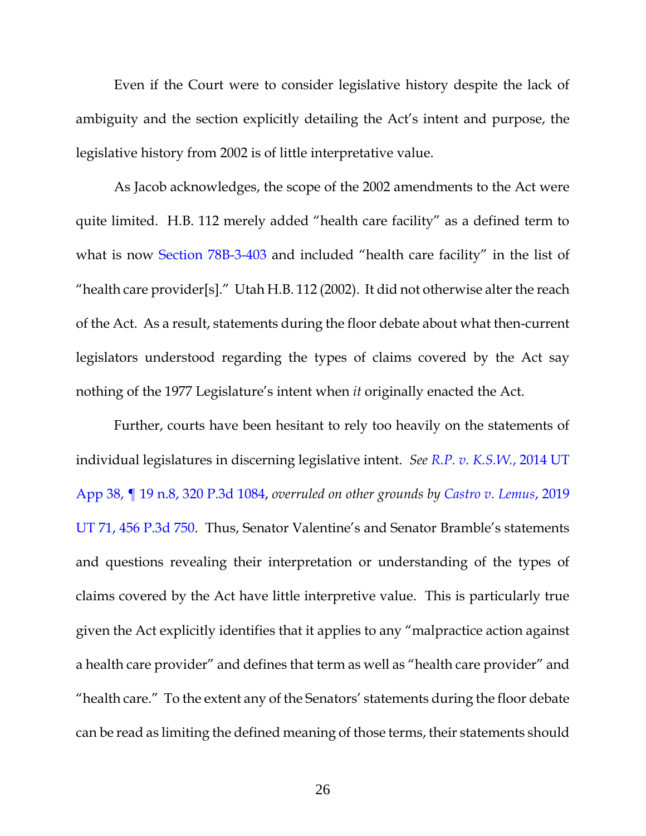Even if the Court were to consider legislative history despite the lack of ambiguity and the section explicitly detailing the Act's intent and purpose, the legislative history from 2002 is of little interpretative value.

As Jacob acknowledges, the scope of the 2002 amendments to the Act were quite limited. H.B. 112 merely added "health care facility" as a defined term to what is now [Section 78B-3-403](https://1.next.westlaw.com/Document/N0E6B990085B811E9A9B08E2FC34AD275/View/FullText.html?originationContext=documenttoc&transitionType=CategoryPageItem&contextData=(sc.Default)) and included "health care facility" in the list of "health care provider[s]." Utah H.B. 112 (2002). It did not otherwise alter the reach of the Act. As a result, statements during the floor debate about what then-current legislators understood regarding the types of claims covered by the Act say nothing of the 1977 Legislature's intent when *it* originally enacted the Act.

Further, courts have been hesitant to rely too heavily on the statements of individual legislatures in discerning legislative intent. *See [R.P. v. K.S.W.](https://www.westlaw.com/Document/I096f5f639d8211e3a659df62eba144e8/View/FullText.html?transitionType=Default&contextData=(sc.Default)&VR=3.0&RS=da3.0&fragmentIdentifier=co_pp_sp_4650_n.8)*, 2014 UT [App 38, ¶ 19 n.8,](https://www.westlaw.com/Document/I096f5f639d8211e3a659df62eba144e8/View/FullText.html?transitionType=Default&contextData=(sc.Default)&VR=3.0&RS=da3.0&fragmentIdentifier=co_pp_sp_4650_n.8) 320 P.3d 1084, *overruled on other grounds by [Castro v. Lemus](https://www.westlaw.com/Document/I77f6c390238311eabed3a1bc09b332eb/View/FullText.html?transitionType=Default&contextData=(sc.Default)&VR=3.0&RS=da3.0)*, 2019 [UT 71, 456 P.3d 750](https://www.westlaw.com/Document/I77f6c390238311eabed3a1bc09b332eb/View/FullText.html?transitionType=Default&contextData=(sc.Default)&VR=3.0&RS=da3.0). Thus, Senator Valentine's and Senator Bramble's statements and questions revealing their interpretation or understanding of the types of claims covered by the Act have little interpretive value. This is particularly true given the Act explicitly identifies that it applies to any "malpractice action against a health care provider" and defines that term as well as "health care provider" and "health care." To the extent any of the Senators' statements during the floor debate can be read as limiting the defined meaning of those terms, their statements should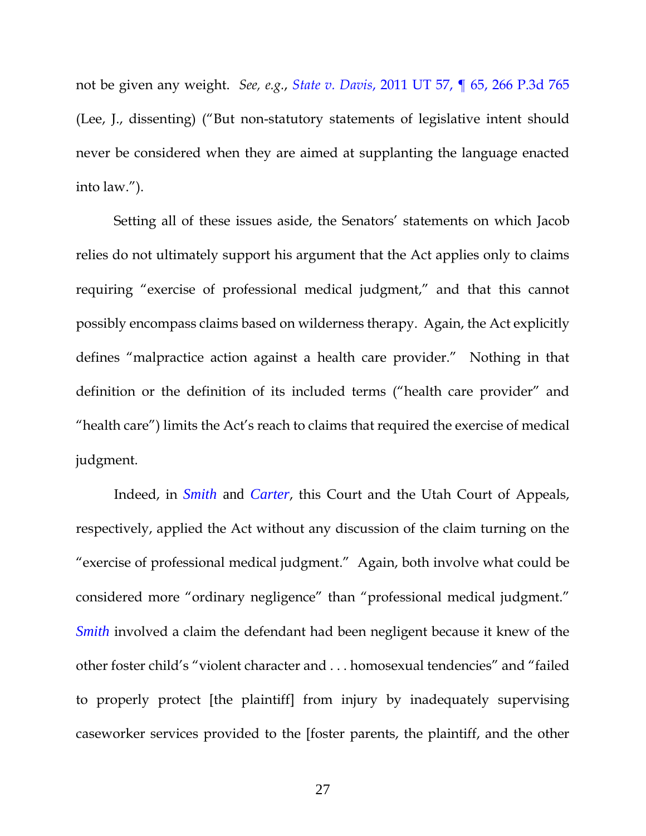not be given any weight. *See, e.g.*, *State v. Davis*[, 2011 UT 57, ¶ 65, 266 P.3d 765](https://www.westlaw.com/Document/I11ad872de92d11e0bc27967e57e99458/View/FullText.html?transitionType=Default&contextData=(sc.Default)&VR=3.0&RS=da3.0) (Lee, J., dissenting) ("But non-statutory statements of legislative intent should never be considered when they are aimed at supplanting the language enacted into law.").

Setting all of these issues aside, the Senators' statements on which Jacob relies do not ultimately support his argument that the Act applies only to claims requiring "exercise of professional medical judgment," and that this cannot possibly encompass claims based on wilderness therapy. Again, the Act explicitly defines "malpractice action against a health care provider." Nothing in that definition or the definition of its included terms ("health care provider" and "health care") limits the Act's reach to claims that required the exercise of medical judgment.

Indeed, in *[Smith](https://www.westlaw.com/Document/I86e822cdf59611d983e7e9deff98dc6f/View/FullText.html?transitionType=Default&contextData=(sc.Default)&VR=3.0&RS=da3.0)* and *[Carter](https://www.westlaw.com/Document/Ieb156981f55311d9bf60c1d57ebc853e/View/FullText.html?transitionType=Default&contextData=(sc.Default)&VR=3.0&RS=da3.0)*, this Court and the Utah Court of Appeals, respectively, applied the Act without any discussion of the claim turning on the "exercise of professional medical judgment." Again, both involve what could be considered more "ordinary negligence" than "professional medical judgment." *[Smith](https://www.westlaw.com/Document/I86e822cdf59611d983e7e9deff98dc6f/View/FullText.html?transitionType=Default&contextData=(sc.Default)&VR=3.0&RS=da3.0)* involved a claim the defendant had been negligent because it knew of the other foster child's "violent character and . . . homosexual tendencies" and "failed to properly protect [the plaintiff] from injury by inadequately supervising caseworker services provided to the [foster parents, the plaintiff, and the other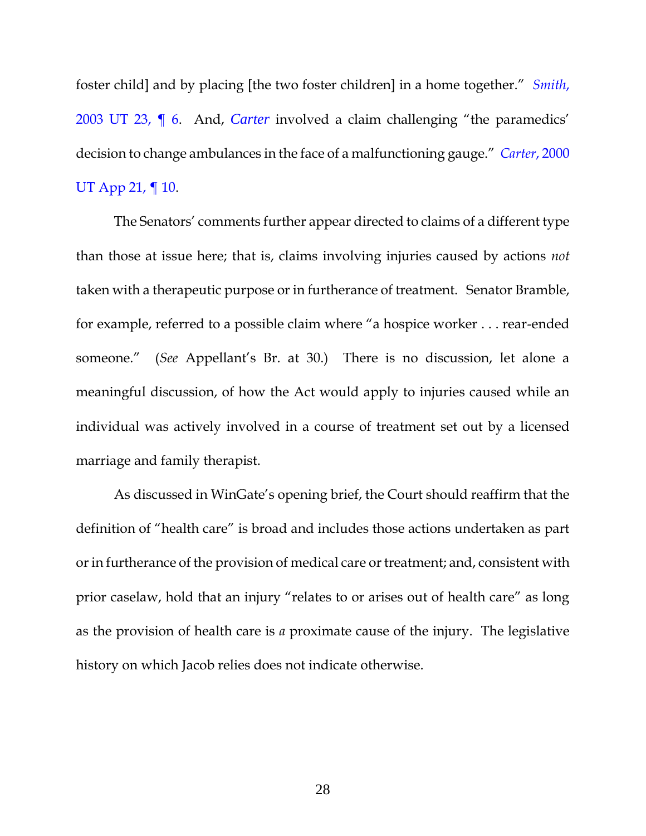foster child] and by placing [the two foster children] in a home together." *[Smith](https://www.westlaw.com/Document/I86e822cdf59611d983e7e9deff98dc6f/View/FullText.html?transitionType=Default&contextData=(sc.Default)&VR=3.0&RS=da3.0)*, [2003 UT 23, ¶ 6.](https://www.westlaw.com/Document/I86e822cdf59611d983e7e9deff98dc6f/View/FullText.html?transitionType=Default&contextData=(sc.Default)&VR=3.0&RS=da3.0) And, *[Carter](https://www.westlaw.com/Document/Ieb156981f55311d9bf60c1d57ebc853e/View/FullText.html?transitionType=Default&contextData=(sc.Default)&VR=3.0&RS=da3.0)* involved a claim challenging "the paramedics' decision to change ambulances in the face of a malfunctioning gauge." *Carter*[, 2000](https://www.westlaw.com/Document/Ieb156981f55311d9bf60c1d57ebc853e/View/FullText.html?transitionType=Default&contextData=(sc.Default)&VR=3.0&RS=da3.0)  [UT App 21, ¶ 10.](https://www.westlaw.com/Document/Ieb156981f55311d9bf60c1d57ebc853e/View/FullText.html?transitionType=Default&contextData=(sc.Default)&VR=3.0&RS=da3.0)

The Senators' comments further appear directed to claims of a different type than those at issue here; that is, claims involving injuries caused by actions *not*  taken with a therapeutic purpose or in furtherance of treatment. Senator Bramble, for example, referred to a possible claim where "a hospice worker . . . rear-ended someone." (*See* Appellant's Br. at 30.) There is no discussion, let alone a meaningful discussion, of how the Act would apply to injuries caused while an individual was actively involved in a course of treatment set out by a licensed marriage and family therapist.

As discussed in WinGate's opening brief, the Court should reaffirm that the definition of "health care" is broad and includes those actions undertaken as part or in furtherance of the provision of medical care or treatment; and, consistent with prior caselaw, hold that an injury "relates to or arises out of health care" as long as the provision of health care is *a* proximate cause of the injury. The legislative history on which Jacob relies does not indicate otherwise.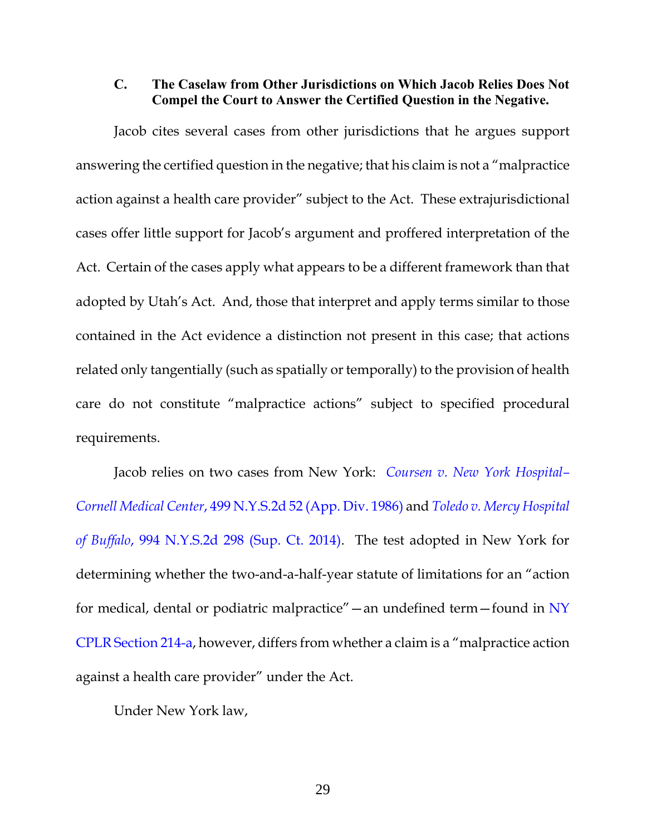#### <span id="page-35-0"></span>**C. The Caselaw from Other Jurisdictions on Which Jacob Relies Does Not Compel the Court to Answer the Certified Question in the Negative.**

Jacob cites several cases from other jurisdictions that he argues support answering the certified question in the negative; that his claim is not a "malpractice action against a health care provider" subject to the Act. These extrajurisdictional cases offer little support for Jacob's argument and proffered interpretation of the Act. Certain of the cases apply what appears to be a different framework than that adopted by Utah's Act. And, those that interpret and apply terms similar to those contained in the Act evidence a distinction not present in this case; that actions related only tangentially (such as spatially or temporally) to the provision of health care do not constitute "malpractice actions" subject to specified procedural requirements.

Jacob relies on two cases from New York: *[Coursen v. New York Hospital](https://1.next.westlaw.com/Document/I89427290dbe411d9a489ee624f1f6e1a/View/FullText.html?transitionType=UniqueDocItem&contextData=(sc.Search)&userEnteredCitation=499+N.Y.S.2d+52)– Cornell Medical Center*[, 499 N.Y.S.2d 52 \(App. Div. 1986\)](https://1.next.westlaw.com/Document/I89427290dbe411d9a489ee624f1f6e1a/View/FullText.html?transitionType=UniqueDocItem&contextData=(sc.Search)&userEnteredCitation=499+N.Y.S.2d+52) and *[Toledo v. Mercy Hospital](https://www.westlaw.com/Document/I41080b9544d011e4b4bafa136b480ad2/View/FullText.html?transitionType=Default&contextData=(sc.Default)&VR=3.0&RS=da3.0)  of Buffalo*[, 994 N.Y.S.2d 298 \(Sup. Ct. 2014\).](https://www.westlaw.com/Document/I41080b9544d011e4b4bafa136b480ad2/View/FullText.html?transitionType=Default&contextData=(sc.Default)&VR=3.0&RS=da3.0) The test adopted in New York for determining whether the two-and-a-half-year statute of limitations for an "action for medical, dental or podiatric malpractice"—an undefined term—found in [NY](https://www.westlaw.com/Document/NF212E6E0076011E8970F93EF4F59AF93/View/FullText.html?transitionType=Default&contextData=(sc.Default)&VR=3.0&RS=da3.0)  [CPLR Section 214-a](https://www.westlaw.com/Document/NF212E6E0076011E8970F93EF4F59AF93/View/FullText.html?transitionType=Default&contextData=(sc.Default)&VR=3.0&RS=da3.0), however, differs from whether a claim is a "malpractice action against a health care provider" under the Act.

Under New York law,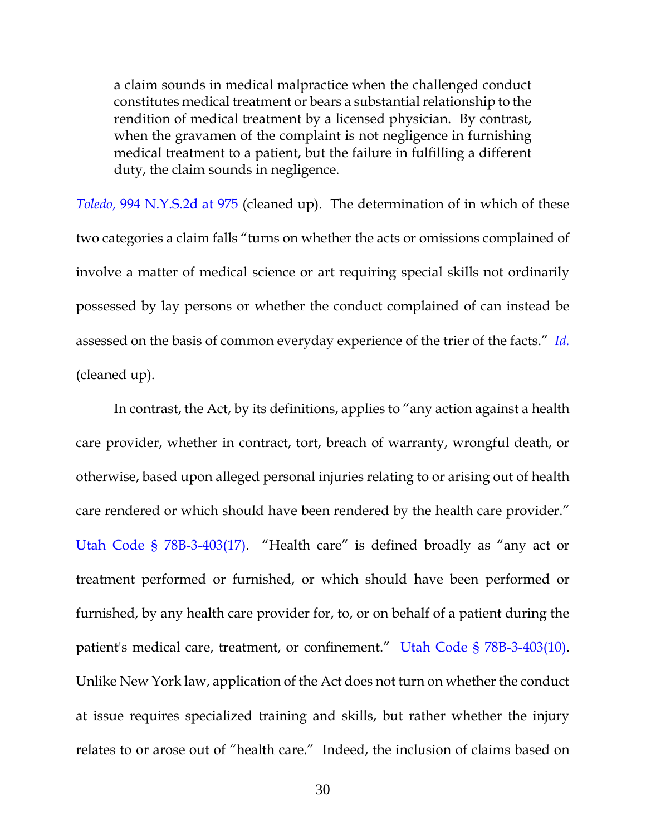a claim sounds in medical malpractice when the challenged conduct constitutes medical treatment or bears a substantial relationship to the rendition of medical treatment by a licensed physician. By contrast, when the gravamen of the complaint is not negligence in furnishing medical treatment to a patient, but the failure in fulfilling a different duty, the claim sounds in negligence.

*Toledo*[, 994 N.Y.S.2d at 975](https://www.westlaw.com/Document/I7198e09d6e2f11e4b86bd602cb8781fa/View/FullText.html?transitionType=Default&contextData=(sc.Default)&VR=3.0&RS=da3.0&fragmentIdentifier=co_pp_sp_602_ean) (cleaned up). The determination of in which of these two categories a claim falls "turns on whether the acts or omissions complained of involve a matter of medical science or art requiring special skills not ordinarily possessed by lay persons or whether the conduct complained of can instead be assessed on the basis of common everyday experience of the trier of the facts." *[Id.](https://www.westlaw.com/Document/I7198e09d6e2f11e4b86bd602cb8781fa/View/FullText.html?transitionType=Default&contextData=(sc.Default)&VR=3.0&RS=da3.0)* (cleaned up).

In contrast, the Act, by its definitions, applies to "any action against a health care provider, whether in contract, tort, breach of warranty, wrongful death, or otherwise, based upon alleged personal injuries relating to or arising out of health care rendered or which should have been rendered by the health care provider." [Utah Code § 78B-3-403\(17\)](https://www.westlaw.com/Document/N0E6B990085B811E9A9B08E2FC34AD275/View/FullText.html?transitionType=Default&contextData=(sc.Default)&VR=3.0&RS=da3.0). "Health care" is defined broadly as "any act or treatment performed or furnished, or which should have been performed or furnished, by any health care provider for, to, or on behalf of a patient during the patient's medical care, treatment, or confinement." [Utah Code § 78B-3-403\(10\).](https://www.westlaw.com/Document/N0E6B990085B811E9A9B08E2FC34AD275/View/FullText.html?transitionType=Default&contextData=(sc.Default)&VR=3.0&RS=da3.0) Unlike New York law, application of the Act does not turn on whether the conduct at issue requires specialized training and skills, but rather whether the injury relates to or arose out of "health care." Indeed, the inclusion of claims based on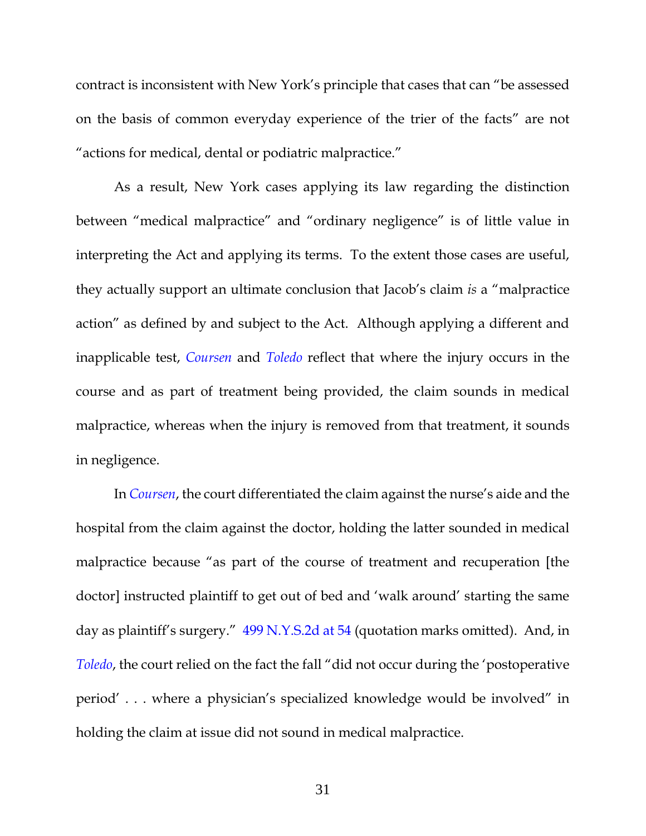contract is inconsistent with New York's principle that cases that can "be assessed on the basis of common everyday experience of the trier of the facts" are not "actions for medical, dental or podiatric malpractice."

As a result, New York cases applying its law regarding the distinction between "medical malpractice" and "ordinary negligence" is of little value in interpreting the Act and applying its terms. To the extent those cases are useful, they actually support an ultimate conclusion that Jacob's claim *is* a "malpractice action" as defined by and subject to the Act. Although applying a different and inapplicable test, *[Coursen](https://1.next.westlaw.com/Document/I89427290dbe411d9a489ee624f1f6e1a/View/FullText.html?transitionType=UniqueDocItem&contextData=(sc.Search)&userEnteredCitation=499+N.Y.S.2d+52)* and *[Toledo](https://www.westlaw.com/Document/I41080b9544d011e4b4bafa136b480ad2/View/FullText.html?transitionType=Default&contextData=(sc.Default)&VR=3.0&RS=da3.0)* reflect that where the injury occurs in the course and as part of treatment being provided, the claim sounds in medical malpractice, whereas when the injury is removed from that treatment, it sounds in negligence.

In *[Coursen](https://1.next.westlaw.com/Document/I89427290dbe411d9a489ee624f1f6e1a/View/FullText.html?transitionType=UniqueDocItem&contextData=(sc.Search)&userEnteredCitation=499+N.Y.S.2d+52)*, the court differentiated the claim against the nurse's aide and the hospital from the claim against the doctor, holding the latter sounded in medical malpractice because "as part of the course of treatment and recuperation [the doctor] instructed plaintiff to get out of bed and 'walk around' starting the same day as plaintiff's surgery." [499 N.Y.S.2d at 54](https://www.westlaw.com/Document/I89427290dbe411d9a489ee624f1f6e1a/View/FullText.html?transitionType=Default&contextData=(sc.Default)&VR=3.0&RS=da3.0&fragmentIdentifier=co_pp_sp_602_54) (quotation marks omitted). And, in *[Toledo](https://www.westlaw.com/Document/I41080b9544d011e4b4bafa136b480ad2/View/FullText.html?transitionType=Default&contextData=(sc.Default)&VR=3.0&RS=da3.0)*, the court relied on the fact the fall "did not occur during the 'postoperative period' . . . where a physician's specialized knowledge would be involved" in holding the claim at issue did not sound in medical malpractice.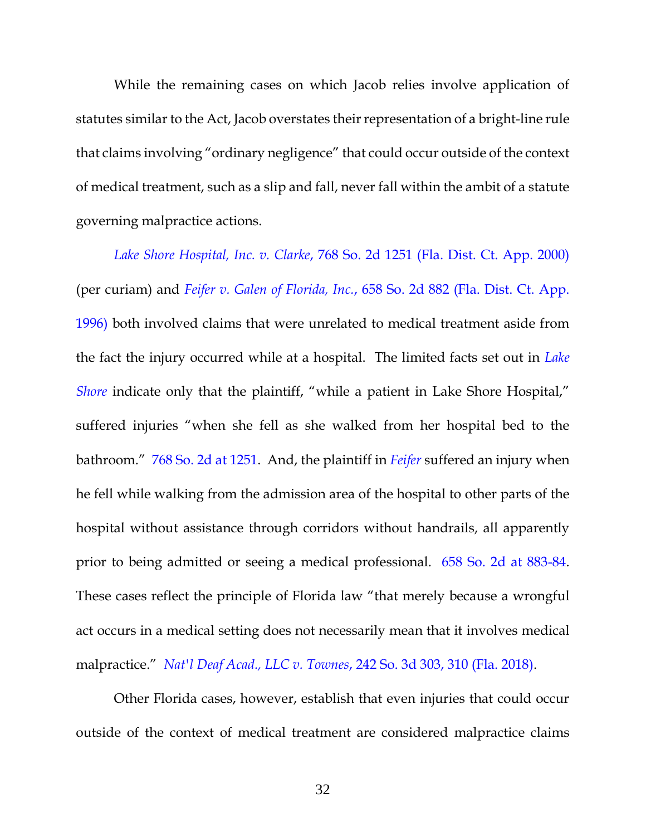While the remaining cases on which Jacob relies involve application of statutes similar to the Act, Jacob overstates their representation of a bright-line rule that claims involving "ordinary negligence" that could occur outside of the context of medical treatment, such as a slip and fall, never fall within the ambit of a statute governing malpractice actions.

*Lake Shore Hospital, Inc. v. Clarke*[, 768 So. 2d 1251 \(Fla. Dist. Ct. App. 2000\)](https://www.westlaw.com/Document/Ie8ccc6940cf711d99830b5efa1ded32a/View/FullText.html?transitionType=Default&contextData=(sc.Default)&VR=3.0&RS=da3.0) (per curiam) and *Feifer v. Galen of Florida, Inc.*[, 658 So. 2d 882 \(Fla. Dist. Ct. App.](https://www.westlaw.com/Document/I6b3877820ec111d9bde8ee3d49ead4ec/View/FullText.html?transitionType=Default&contextData=(sc.Default)&VR=3.0&RS=da3.0)  [1996\)](https://www.westlaw.com/Document/I6b3877820ec111d9bde8ee3d49ead4ec/View/FullText.html?transitionType=Default&contextData=(sc.Default)&VR=3.0&RS=da3.0) both involved claims that were unrelated to medical treatment aside from the fact the injury occurred while at a hospital. The limited facts set out in *[Lake](https://www.westlaw.com/Document/Ie8ccc6940cf711d99830b5efa1ded32a/View/FullText.html?transitionType=Default&contextData=(sc.Default)&VR=3.0&RS=da3.0)  [Shore](https://www.westlaw.com/Document/Ie8ccc6940cf711d99830b5efa1ded32a/View/FullText.html?transitionType=Default&contextData=(sc.Default)&VR=3.0&RS=da3.0)* indicate only that the plaintiff, "while a patient in Lake Shore Hospital," suffered injuries "when she fell as she walked from her hospital bed to the bathroom." [768 So. 2d at 1251.](https://www.westlaw.com/Document/Ie8ccc6940cf711d99830b5efa1ded32a/View/FullText.html?transitionType=Default&contextData=(sc.Default)&VR=3.0&RS=da3.0&fragmentIdentifier=co_pp_sp_735_1251) And, the plaintiff in *[Feifer](https://www.westlaw.com/Document/I6b3877820ec111d9bde8ee3d49ead4ec/View/FullText.html?transitionType=Default&contextData=(sc.Default)&VR=3.0&RS=da3.0)* suffered an injury when he fell while walking from the admission area of the hospital to other parts of the hospital without assistance through corridors without handrails, all apparently prior to being admitted or seeing a medical professional. [658 So. 2d at 883-84.](https://www.westlaw.com/Document/I6b3877820ec111d9bde8ee3d49ead4ec/View/FullText.html?transitionType=Default&contextData=(sc.Default)&VR=3.0&RS=da3.0&fragmentIdentifier=co_pp_sp_735_883) These cases reflect the principle of Florida law "that merely because a wrongful act occurs in a medical setting does not necessarily mean that it involves medical malpractice." *Nat'l Deaf Acad., LLC v. Townes*[, 242 So. 3d 303, 310 \(Fla. 2018\).](https://www.westlaw.com/Document/I13b649c049b211e8a70fc9d8a0b2aef5/View/FullText.html?transitionType=Default&contextData=(sc.Default)&VR=3.0&RS=da3.0&fragmentIdentifier=co_pp_sp_3926_310)

Other Florida cases, however, establish that even injuries that could occur outside of the context of medical treatment are considered malpractice claims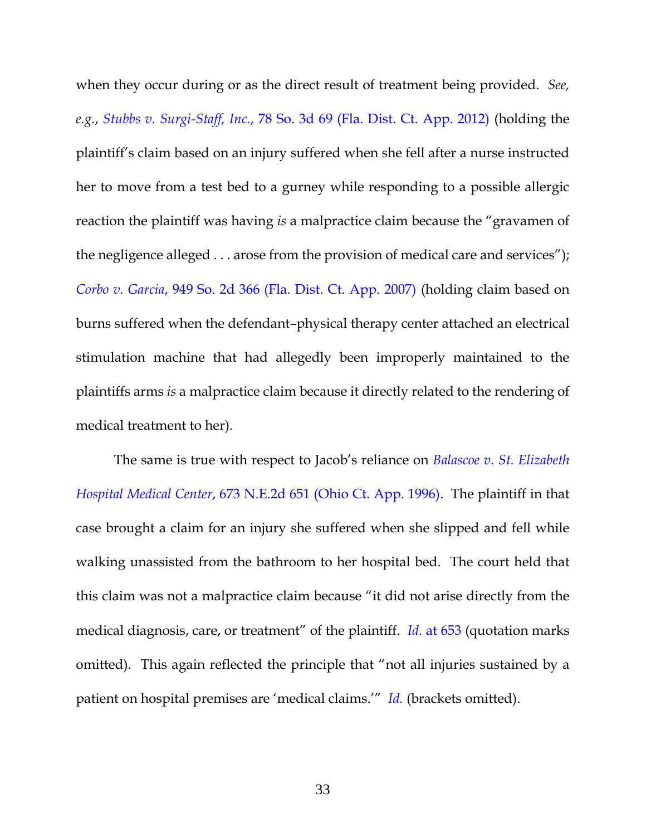when they occur during or as the direct result of treatment being provided. *See, e.g.*, *Stubbs v. Surgi-Staff, Inc.*[, 78 So. 3d 69 \(Fla. Dist. Ct. App. 2012\)](https://www.westlaw.com/Document/I64908b6641eb11e18da7c4363d0963b0/View/FullText.html?transitionType=Default&contextData=(sc.Default)&VR=3.0&RS=da3.0) (holding the plaintiff's claim based on an injury suffered when she fell after a nurse instructed her to move from a test bed to a gurney while responding to a possible allergic reaction the plaintiff was having *is* a malpractice claim because the "gravamen of the negligence alleged . . . arose from the provision of medical care and services"); *Corbo v. Garcia*[, 949 So. 2d 366 \(Fla. Dist. Ct. App. 2007\)](https://www.westlaw.com/Document/I9c2f8abfc91111db949e9cd7d7b51ea9/View/FullText.html?transitionType=Default&contextData=(sc.Default)&VR=3.0&RS=da3.0) (holding claim based on burns suffered when the defendant–physical therapy center attached an electrical stimulation machine that had allegedly been improperly maintained to the plaintiffs arms *is* a malpractice claim because it directly related to the rendering of medical treatment to her).

The same is true with respect to Jacob's reliance on *[Balascoe v. St. Elizabeth](https://www.westlaw.com/Document/I9fab8ef3d3cc11d983e7e9deff98dc6f/View/FullText.html?transitionType=Default&contextData=(sc.Default)&VR=3.0&RS=da3.0)  Hospital Medical Center*[, 673 N.E.2d 651 \(Ohio Ct. App. 1996\).](https://www.westlaw.com/Document/I9fab8ef3d3cc11d983e7e9deff98dc6f/View/FullText.html?transitionType=Default&contextData=(sc.Default)&VR=3.0&RS=da3.0) The plaintiff in that case brought a claim for an injury she suffered when she slipped and fell while walking unassisted from the bathroom to her hospital bed. The court held that this claim was not a malpractice claim because "it did not arise directly from the medical diagnosis, care, or treatment" of the plaintiff. *Id.* [at 653](https://www.westlaw.com/Document/I9fab8ef3d3cc11d983e7e9deff98dc6f/View/FullText.html?transitionType=Default&contextData=(sc.Default)&VR=3.0&RS=da3.0&fragmentIdentifier=co_pp_sp_578_653) (quotation marks omitted). This again reflected the principle that "not all injuries sustained by a patient on hospital premises are 'medical claims.'" *[Id.](https://www.westlaw.com/Document/I9fab8ef3d3cc11d983e7e9deff98dc6f/View/FullText.html?transitionType=Default&contextData=(sc.Default)&VR=3.0&RS=da3.0)* (brackets omitted).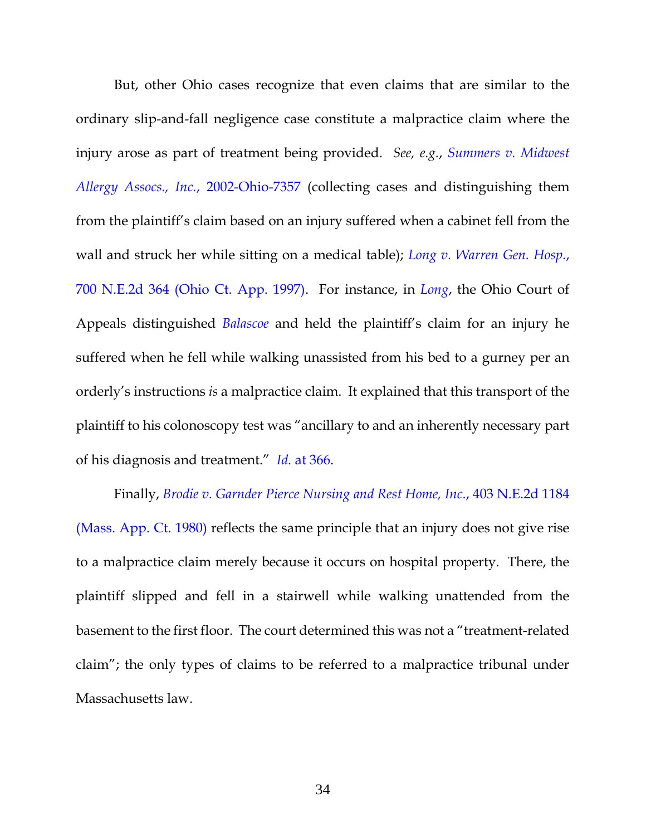But, other Ohio cases recognize that even claims that are similar to the ordinary slip-and-fall negligence case constitute a malpractice claim where the injury arose as part of treatment being provided. *See, e.g.*, *[Summers v. Midwest](https://www.westlaw.com/Document/I35e73c8bd20011d99439b076ef9ec4de/View/FullText.html?transitionType=Default&contextData=(sc.Default)&VR=3.0&RS=da3.0)  [Allergy Assocs., Inc.](https://www.westlaw.com/Document/I35e73c8bd20011d99439b076ef9ec4de/View/FullText.html?transitionType=Default&contextData=(sc.Default)&VR=3.0&RS=da3.0)*, 2002-Ohio-7357 (collecting cases and distinguishing them from the plaintiff's claim based on an injury suffered when a cabinet fell from the wall and struck her while sitting on a medical table); *[Long v. Warren Gen. Hosp.](https://www.westlaw.com/Document/I26308024d3be11d9bf60c1d57ebc853e/View/FullText.html?transitionType=Default&contextData=(sc.Default)&VR=3.0&RS=da3.0)*, [700 N.E.2d 364 \(Ohio Ct. App. 1997\).](https://www.westlaw.com/Document/I26308024d3be11d9bf60c1d57ebc853e/View/FullText.html?transitionType=Default&contextData=(sc.Default)&VR=3.0&RS=da3.0) For instance, in *[Long](https://www.westlaw.com/Document/I26308024d3be11d9bf60c1d57ebc853e/View/FullText.html?transitionType=Default&contextData=(sc.Default)&VR=3.0&RS=da3.0)*, the Ohio Court of Appeals distinguished *[Balascoe](https://www.westlaw.com/Document/I9fab8ef3d3cc11d983e7e9deff98dc6f/View/FullText.html?transitionType=Default&contextData=(sc.Default)&VR=3.0&RS=da3.0)* and held the plaintiff's claim for an injury he suffered when he fell while walking unassisted from his bed to a gurney per an orderly's instructions *is* a malpractice claim. It explained that this transport of the plaintiff to his colonoscopy test was "ancillary to and an inherently necessary part of his diagnosis and treatment." *Id.* [at 366.](https://www.westlaw.com/Document/I26308024d3be11d9bf60c1d57ebc853e/View/FullText.html?transitionType=Default&contextData=(sc.Default)&VR=3.0&RS=da3.0&fragmentIdentifier=co_pp_sp_578_366)

Finally, *[Brodie v. Garnder Pierce Nursing and Rest Home,](https://www.westlaw.com/Document/I8d57b2b1d38b11d9bf60c1d57ebc853e/View/FullText.html?transitionType=Default&contextData=(sc.Default)&VR=3.0&RS=da3.0) Inc.*, 403 N.E.2d 1184 [\(Mass. App. Ct. 1980\)](https://www.westlaw.com/Document/I8d57b2b1d38b11d9bf60c1d57ebc853e/View/FullText.html?transitionType=Default&contextData=(sc.Default)&VR=3.0&RS=da3.0) reflects the same principle that an injury does not give rise to a malpractice claim merely because it occurs on hospital property. There, the plaintiff slipped and fell in a stairwell while walking unattended from the basement to the first floor. The court determined this was not a "treatment-related claim"; the only types of claims to be referred to a malpractice tribunal under Massachusetts law.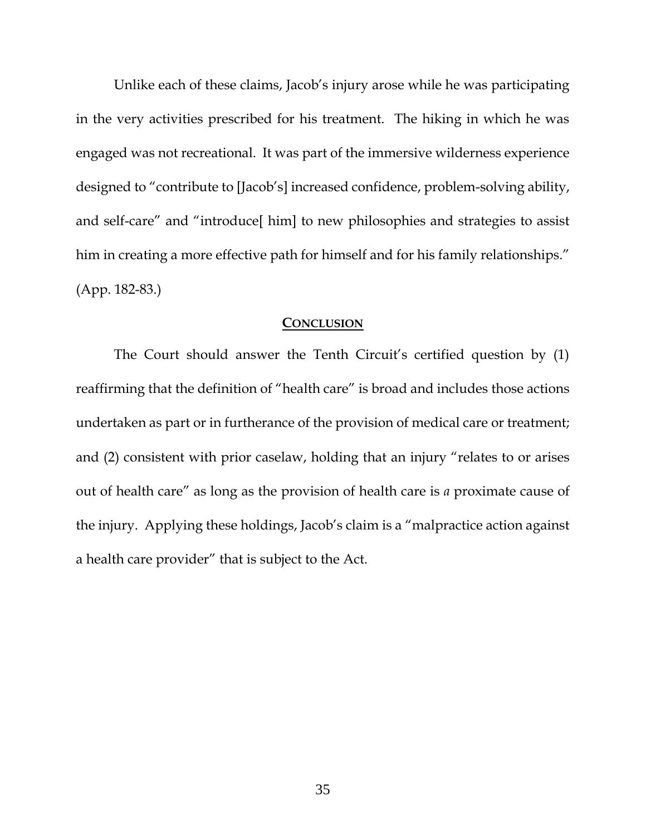Unlike each of these claims, Jacob's injury arose while he was participating in the very activities prescribed for his treatment. The hiking in which he was engaged was not recreational. It was part of the immersive wilderness experience designed to "contribute to [Jacob's] increased confidence, problem-solving ability, and self-care" and "introduce[ him] to new philosophies and strategies to assist him in creating a more effective path for himself and for his family relationships." (App. 182-83.)

#### **CONCLUSION**

<span id="page-41-0"></span>The Court should answer the Tenth Circuit's certified question by (1) reaffirming that the definition of "health care" is broad and includes those actions undertaken as part or in furtherance of the provision of medical care or treatment; and (2) consistent with prior caselaw, holding that an injury "relates to or arises out of health care" as long as the provision of health care is *a* proximate cause of the injury. Applying these holdings, Jacob's claim is a "malpractice action against a health care provider" that is subject to the Act.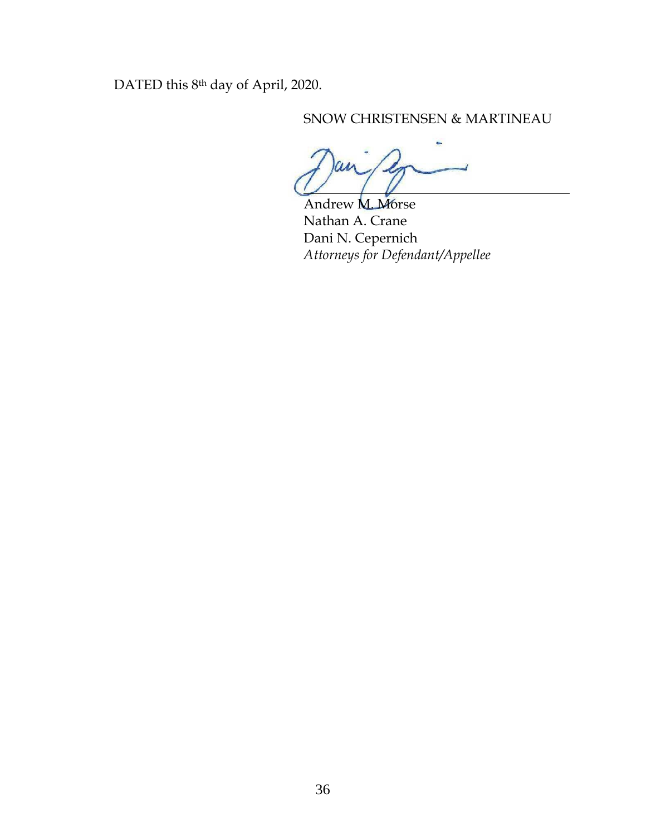DATED this 8<sup>th</sup> day of April, 2020.

## SNOW CHRISTENSEN & MARTINEAU

Andrew **M. Morse** Nathan A. Crane Dani N. Cepernich *Attorneys for Defendant/Appellee*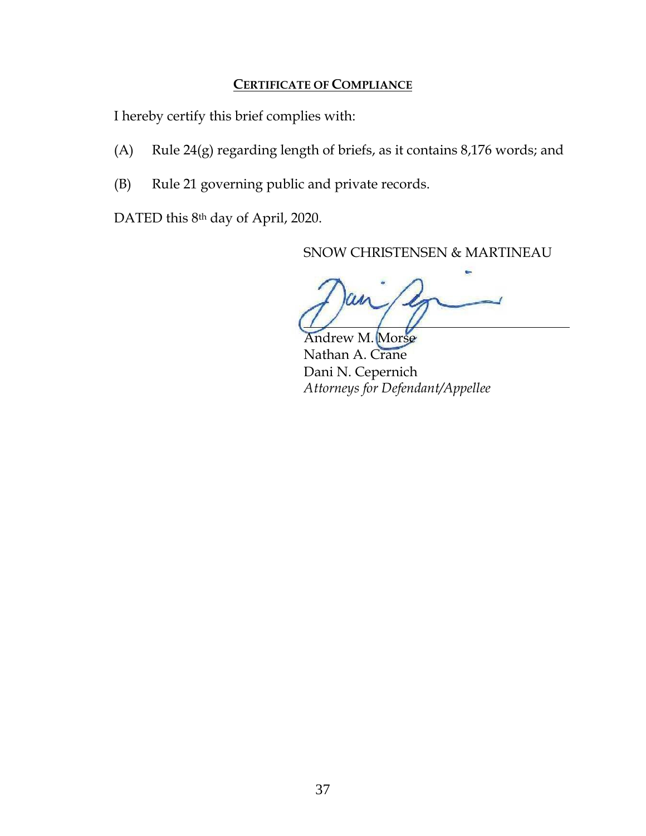### **CERTIFICATE OF COMPLIANCE**

<span id="page-43-0"></span>I hereby certify this brief complies with:

- (A) Rule  $24(g)$  regarding length of briefs, as it contains 8,176 words; and
- (B) Rule 21 governing public and private records.

DATED this 8<sup>th</sup> day of April, 2020.

SNOW CHRISTENSEN & MARTINEAU

ndrew M. Morse Nathan A. Crane Dani N. Cepernich *Attorneys for Defendant/Appellee*